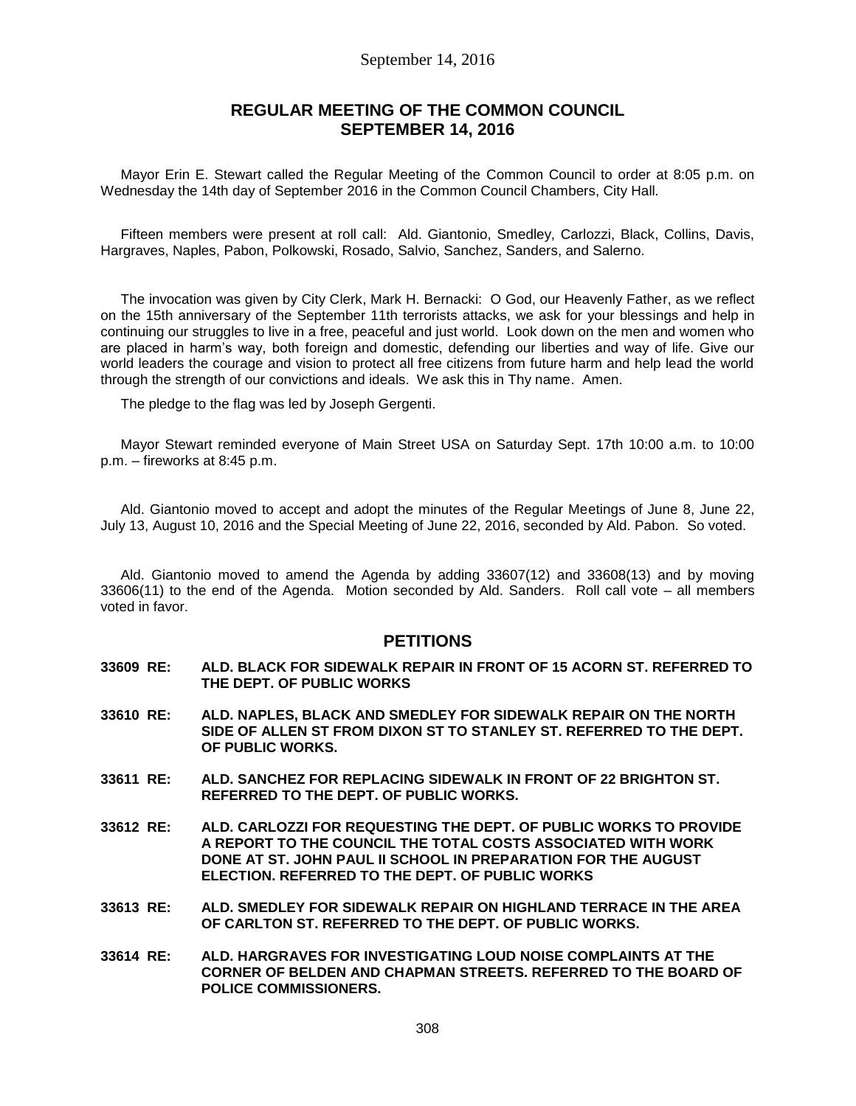# September 14, 2016

# **REGULAR MEETING OF THE COMMON COUNCIL SEPTEMBER 14, 2016**

Mayor Erin E. Stewart called the Regular Meeting of the Common Council to order at 8:05 p.m. on Wednesday the 14th day of September 2016 in the Common Council Chambers, City Hall.

Fifteen members were present at roll call: Ald. Giantonio, Smedley, Carlozzi, Black, Collins, Davis, Hargraves, Naples, Pabon, Polkowski, Rosado, Salvio, Sanchez, Sanders, and Salerno.

The invocation was given by City Clerk, Mark H. Bernacki: O God, our Heavenly Father, as we reflect on the 15th anniversary of the September 11th terrorists attacks, we ask for your blessings and help in continuing our struggles to live in a free, peaceful and just world. Look down on the men and women who are placed in harm's way, both foreign and domestic, defending our liberties and way of life. Give our world leaders the courage and vision to protect all free citizens from future harm and help lead the world through the strength of our convictions and ideals. We ask this in Thy name. Amen.

The pledge to the flag was led by Joseph Gergenti.

Mayor Stewart reminded everyone of Main Street USA on Saturday Sept. 17th 10:00 a.m. to 10:00 p.m. – fireworks at 8:45 p.m.

Ald. Giantonio moved to accept and adopt the minutes of the Regular Meetings of June 8, June 22, July 13, August 10, 2016 and the Special Meeting of June 22, 2016, seconded by Ald. Pabon. So voted.

Ald. Giantonio moved to amend the Agenda by adding 33607(12) and 33608(13) and by moving 33606(11) to the end of the Agenda. Motion seconded by Ald. Sanders. Roll call vote – all members voted in favor.

# **PETITIONS**

- **33609 RE: ALD. BLACK FOR SIDEWALK REPAIR IN FRONT OF 15 ACORN ST. REFERRED TO THE DEPT. OF PUBLIC WORKS**
- **33610 RE: ALD. NAPLES, BLACK AND SMEDLEY FOR SIDEWALK REPAIR ON THE NORTH SIDE OF ALLEN ST FROM DIXON ST TO STANLEY ST. REFERRED TO THE DEPT. OF PUBLIC WORKS.**
- **33611 RE: ALD. SANCHEZ FOR REPLACING SIDEWALK IN FRONT OF 22 BRIGHTON ST. REFERRED TO THE DEPT. OF PUBLIC WORKS.**
- **33612 RE: ALD. CARLOZZI FOR REQUESTING THE DEPT. OF PUBLIC WORKS TO PROVIDE A REPORT TO THE COUNCIL THE TOTAL COSTS ASSOCIATED WITH WORK DONE AT ST. JOHN PAUL II SCHOOL IN PREPARATION FOR THE AUGUST ELECTION. REFERRED TO THE DEPT. OF PUBLIC WORKS**
- **33613 RE: ALD. SMEDLEY FOR SIDEWALK REPAIR ON HIGHLAND TERRACE IN THE AREA OF CARLTON ST. REFERRED TO THE DEPT. OF PUBLIC WORKS.**
- **33614 RE: ALD. HARGRAVES FOR INVESTIGATING LOUD NOISE COMPLAINTS AT THE CORNER OF BELDEN AND CHAPMAN STREETS. REFERRED TO THE BOARD OF POLICE COMMISSIONERS.**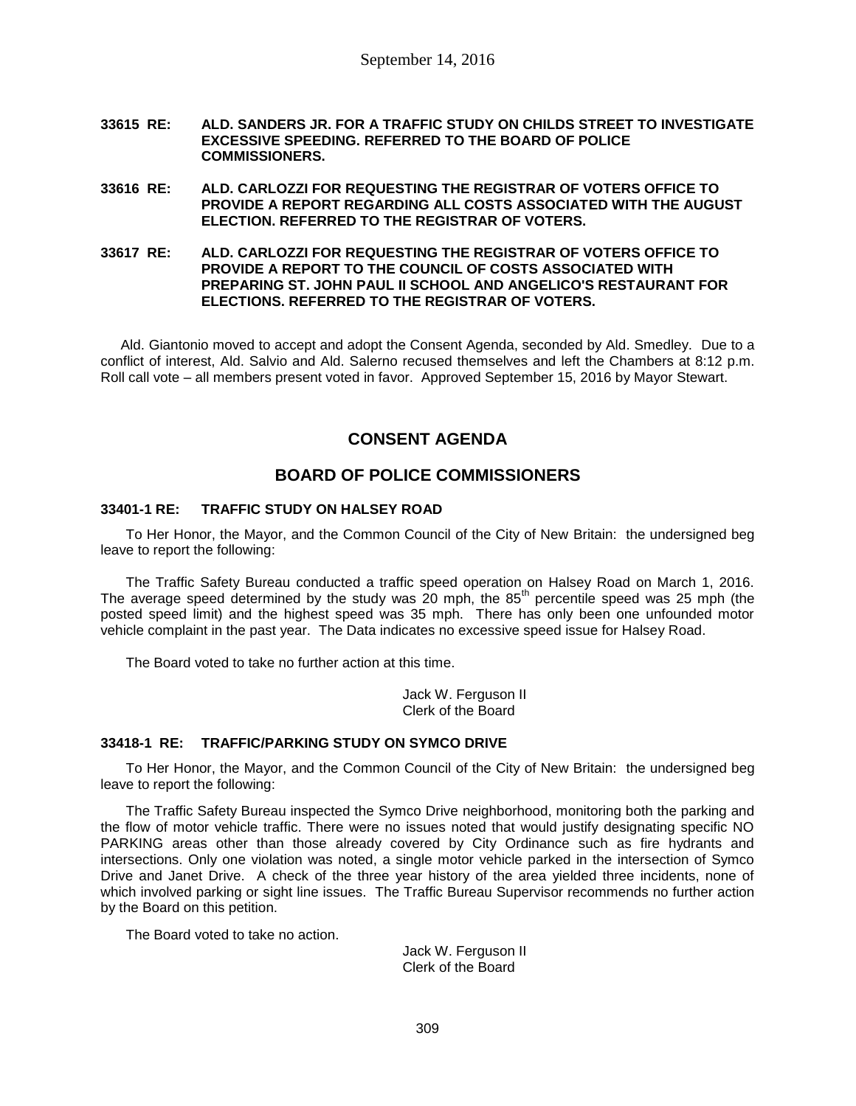- **33615 RE: ALD. SANDERS JR. FOR A TRAFFIC STUDY ON CHILDS STREET TO INVESTIGATE EXCESSIVE SPEEDING. REFERRED TO THE BOARD OF POLICE COMMISSIONERS.**
- **33616 RE: ALD. CARLOZZI FOR REQUESTING THE REGISTRAR OF VOTERS OFFICE TO PROVIDE A REPORT REGARDING ALL COSTS ASSOCIATED WITH THE AUGUST ELECTION. REFERRED TO THE REGISTRAR OF VOTERS.**
- **33617 RE: ALD. CARLOZZI FOR REQUESTING THE REGISTRAR OF VOTERS OFFICE TO PROVIDE A REPORT TO THE COUNCIL OF COSTS ASSOCIATED WITH PREPARING ST. JOHN PAUL II SCHOOL AND ANGELICO'S RESTAURANT FOR ELECTIONS. REFERRED TO THE REGISTRAR OF VOTERS.**

Ald. Giantonio moved to accept and adopt the Consent Agenda, seconded by Ald. Smedley. Due to a conflict of interest, Ald. Salvio and Ald. Salerno recused themselves and left the Chambers at 8:12 p.m. Roll call vote – all members present voted in favor. Approved September 15, 2016 by Mayor Stewart.

# **CONSENT AGENDA**

# **BOARD OF POLICE COMMISSIONERS**

## **33401-1 RE: TRAFFIC STUDY ON HALSEY ROAD**

To Her Honor, the Mayor, and the Common Council of the City of New Britain: the undersigned beg leave to report the following:

The Traffic Safety Bureau conducted a traffic speed operation on Halsey Road on March 1, 2016. The average speed determined by the study was 20 mph, the  $85<sup>th</sup>$  percentile speed was 25 mph (the posted speed limit) and the highest speed was 35 mph. There has only been one unfounded motor vehicle complaint in the past year. The Data indicates no excessive speed issue for Halsey Road.

The Board voted to take no further action at this time.

Jack W. Ferguson II Clerk of the Board

## **33418-1 RE: TRAFFIC/PARKING STUDY ON SYMCO DRIVE**

To Her Honor, the Mayor, and the Common Council of the City of New Britain: the undersigned beg leave to report the following:

The Traffic Safety Bureau inspected the Symco Drive neighborhood, monitoring both the parking and the flow of motor vehicle traffic. There were no issues noted that would justify designating specific NO PARKING areas other than those already covered by City Ordinance such as fire hydrants and intersections. Only one violation was noted, a single motor vehicle parked in the intersection of Symco Drive and Janet Drive. A check of the three year history of the area yielded three incidents, none of which involved parking or sight line issues. The Traffic Bureau Supervisor recommends no further action by the Board on this petition.

The Board voted to take no action.

Jack W. Ferguson II Clerk of the Board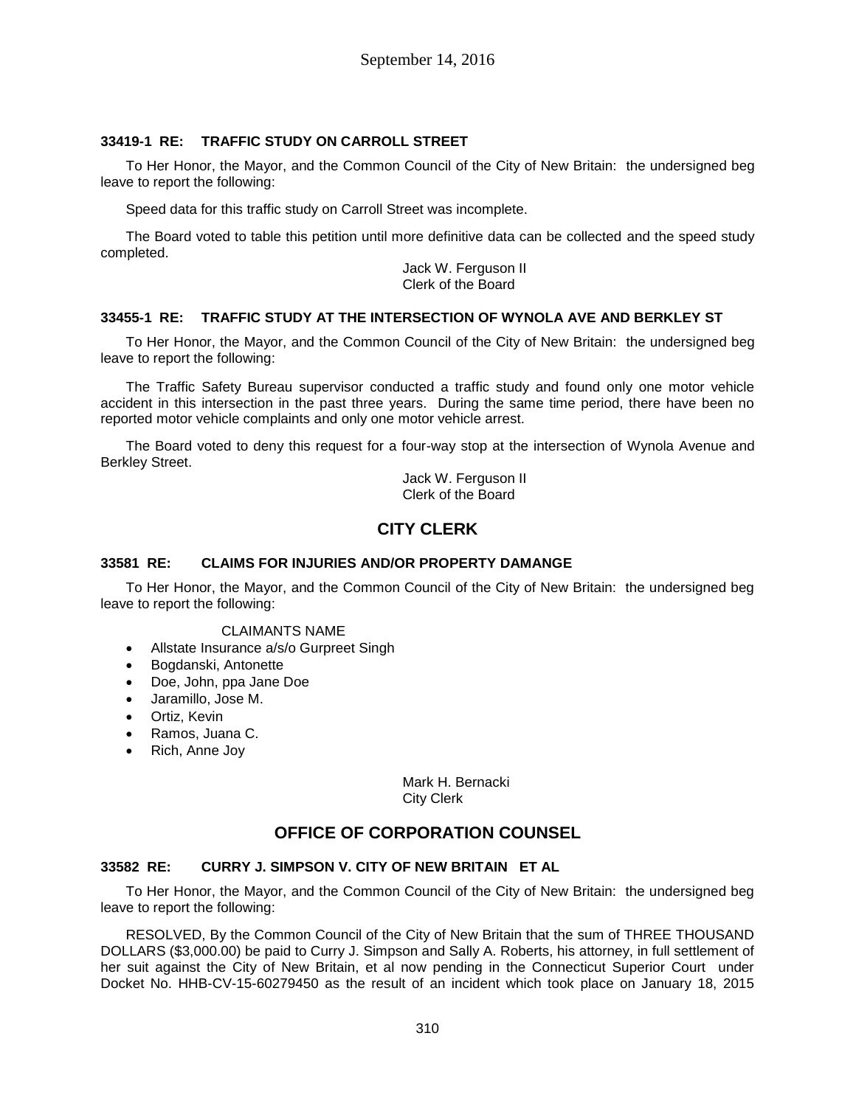# **33419-1 RE: TRAFFIC STUDY ON CARROLL STREET**

To Her Honor, the Mayor, and the Common Council of the City of New Britain: the undersigned beg leave to report the following:

Speed data for this traffic study on Carroll Street was incomplete.

The Board voted to table this petition until more definitive data can be collected and the speed study completed.

> Jack W. Ferguson II Clerk of the Board

# **33455-1 RE: TRAFFIC STUDY AT THE INTERSECTION OF WYNOLA AVE AND BERKLEY ST**

To Her Honor, the Mayor, and the Common Council of the City of New Britain: the undersigned beg leave to report the following:

The Traffic Safety Bureau supervisor conducted a traffic study and found only one motor vehicle accident in this intersection in the past three years. During the same time period, there have been no reported motor vehicle complaints and only one motor vehicle arrest.

The Board voted to deny this request for a four-way stop at the intersection of Wynola Avenue and Berkley Street.

> Jack W. Ferguson II Clerk of the Board

# **CITY CLERK**

## **33581 RE: CLAIMS FOR INJURIES AND/OR PROPERTY DAMANGE**

To Her Honor, the Mayor, and the Common Council of the City of New Britain: the undersigned beg leave to report the following:

## CLAIMANTS NAME

- Allstate Insurance a/s/o Gurpreet Singh
- Bogdanski, Antonette
- Doe, John, ppa Jane Doe
- Jaramillo, Jose M.
- Ortiz, Kevin
- Ramos, Juana C.
- Rich, Anne Joy

Mark H. Bernacki City Clerk

# **OFFICE OF CORPORATION COUNSEL**

# **33582 RE: CURRY J. SIMPSON V. CITY OF NEW BRITAIN ET AL**

To Her Honor, the Mayor, and the Common Council of the City of New Britain: the undersigned beg leave to report the following:

RESOLVED, By the Common Council of the City of New Britain that the sum of THREE THOUSAND DOLLARS (\$3,000.00) be paid to Curry J. Simpson and Sally A. Roberts, his attorney, in full settlement of her suit against the City of New Britain, et al now pending in the Connecticut Superior Court under Docket No. HHB-CV-15-60279450 as the result of an incident which took place on January 18, 2015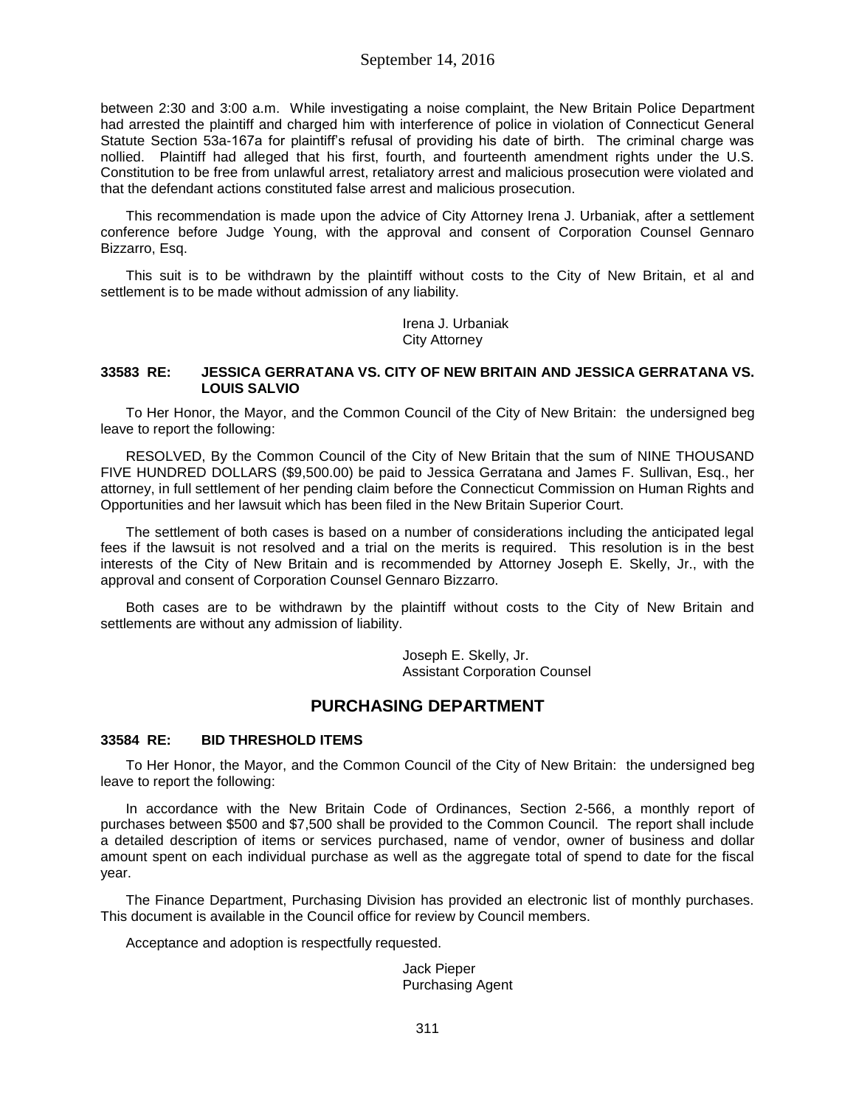between 2:30 and 3:00 a.m. While investigating a noise complaint, the New Britain Police Department had arrested the plaintiff and charged him with interference of police in violation of Connecticut General Statute Section 53a-167a for plaintiff's refusal of providing his date of birth. The criminal charge was nollied. Plaintiff had alleged that his first, fourth, and fourteenth amendment rights under the U.S. Constitution to be free from unlawful arrest, retaliatory arrest and malicious prosecution were violated and that the defendant actions constituted false arrest and malicious prosecution.

This recommendation is made upon the advice of City Attorney Irena J. Urbaniak, after a settlement conference before Judge Young, with the approval and consent of Corporation Counsel Gennaro Bizzarro, Esq.

This suit is to be withdrawn by the plaintiff without costs to the City of New Britain, et al and settlement is to be made without admission of any liability.

> Irena J. Urbaniak City Attorney

### **33583 RE: JESSICA GERRATANA VS. CITY OF NEW BRITAIN AND JESSICA GERRATANA VS. LOUIS SALVIO**

To Her Honor, the Mayor, and the Common Council of the City of New Britain: the undersigned beg leave to report the following:

RESOLVED, By the Common Council of the City of New Britain that the sum of NINE THOUSAND FIVE HUNDRED DOLLARS (\$9,500.00) be paid to Jessica Gerratana and James F. Sullivan, Esq., her attorney, in full settlement of her pending claim before the Connecticut Commission on Human Rights and Opportunities and her lawsuit which has been filed in the New Britain Superior Court.

The settlement of both cases is based on a number of considerations including the anticipated legal fees if the lawsuit is not resolved and a trial on the merits is required. This resolution is in the best interests of the City of New Britain and is recommended by Attorney Joseph E. Skelly, Jr., with the approval and consent of Corporation Counsel Gennaro Bizzarro.

Both cases are to be withdrawn by the plaintiff without costs to the City of New Britain and settlements are without any admission of liability.

> Joseph E. Skelly, Jr. Assistant Corporation Counsel

# **PURCHASING DEPARTMENT**

## **33584 RE: BID THRESHOLD ITEMS**

To Her Honor, the Mayor, and the Common Council of the City of New Britain: the undersigned beg leave to report the following:

In accordance with the New Britain Code of Ordinances, Section 2-566, a monthly report of purchases between \$500 and \$7,500 shall be provided to the Common Council. The report shall include a detailed description of items or services purchased, name of vendor, owner of business and dollar amount spent on each individual purchase as well as the aggregate total of spend to date for the fiscal year.

The Finance Department, Purchasing Division has provided an electronic list of monthly purchases. This document is available in the Council office for review by Council members.

Acceptance and adoption is respectfully requested.

Jack Pieper Purchasing Agent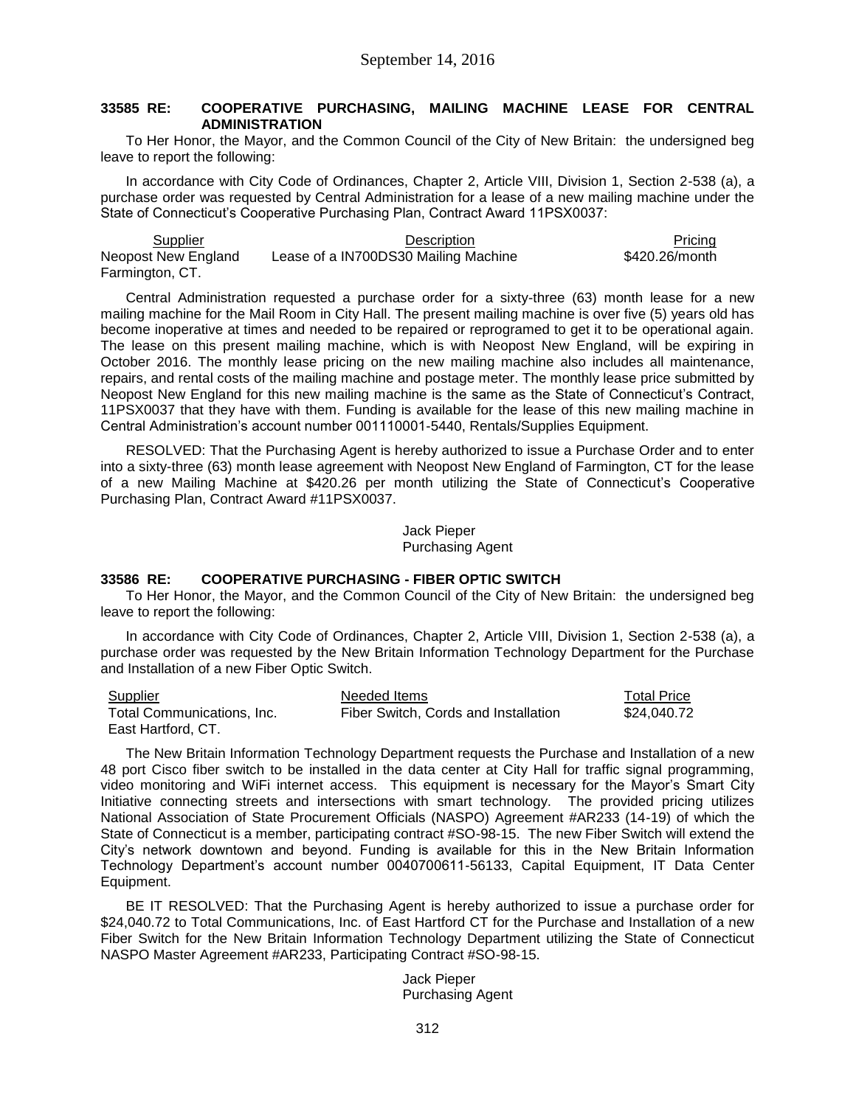## **33585 RE: COOPERATIVE PURCHASING, MAILING MACHINE LEASE FOR CENTRAL ADMINISTRATION**

To Her Honor, the Mayor, and the Common Council of the City of New Britain: the undersigned beg leave to report the following:

In accordance with City Code of Ordinances, Chapter 2, Article VIII, Division 1, Section 2-538 (a), a purchase order was requested by Central Administration for a lease of a new mailing machine under the State of Connecticut's Cooperative Purchasing Plan, Contract Award 11PSX0037:

Supplier **Contract Contract Contract Contract Description** Pricing Pricing Pricing Neopost New England Farmington, CT. Lease of a IN700DS30 Mailing Machine \$420.26/month

Central Administration requested a purchase order for a sixty-three (63) month lease for a new mailing machine for the Mail Room in City Hall. The present mailing machine is over five (5) years old has become inoperative at times and needed to be repaired or reprogramed to get it to be operational again. The lease on this present mailing machine, which is with Neopost New England, will be expiring in October 2016. The monthly lease pricing on the new mailing machine also includes all maintenance, repairs, and rental costs of the mailing machine and postage meter. The monthly lease price submitted by Neopost New England for this new mailing machine is the same as the State of Connecticut's Contract, 11PSX0037 that they have with them. Funding is available for the lease of this new mailing machine in Central Administration's account number 001110001-5440, Rentals/Supplies Equipment.

RESOLVED: That the Purchasing Agent is hereby authorized to issue a Purchase Order and to enter into a sixty-three (63) month lease agreement with Neopost New England of Farmington, CT for the lease of a new Mailing Machine at \$420.26 per month utilizing the State of Connecticut's Cooperative Purchasing Plan, Contract Award #11PSX0037.

> Jack Pieper Purchasing Agent

## **33586 RE: COOPERATIVE PURCHASING - FIBER OPTIC SWITCH**

To Her Honor, the Mayor, and the Common Council of the City of New Britain: the undersigned beg leave to report the following:

In accordance with City Code of Ordinances, Chapter 2, Article VIII, Division 1, Section 2-538 (a), a purchase order was requested by the New Britain Information Technology Department for the Purchase and Installation of a new Fiber Optic Switch.

| <b>Supplier</b>            | Needed Items                         | Total Price |
|----------------------------|--------------------------------------|-------------|
| Total Communications, Inc. | Fiber Switch, Cords and Installation | \$24.040.72 |
| East Hartford, CT.         |                                      |             |

The New Britain Information Technology Department requests the Purchase and Installation of a new 48 port Cisco fiber switch to be installed in the data center at City Hall for traffic signal programming, video monitoring and WiFi internet access. This equipment is necessary for the Mayor's Smart City Initiative connecting streets and intersections with smart technology. The provided pricing utilizes National Association of State Procurement Officials (NASPO) Agreement #AR233 (14-19) of which the State of Connecticut is a member, participating contract #SO-98-15. The new Fiber Switch will extend the City's network downtown and beyond. Funding is available for this in the New Britain Information Technology Department's account number 0040700611-56133, Capital Equipment, IT Data Center Equipment.

BE IT RESOLVED: That the Purchasing Agent is hereby authorized to issue a purchase order for \$24,040.72 to Total Communications, Inc. of East Hartford CT for the Purchase and Installation of a new Fiber Switch for the New Britain Information Technology Department utilizing the State of Connecticut NASPO Master Agreement #AR233, Participating Contract #SO-98-15.

> Jack Pieper Purchasing Agent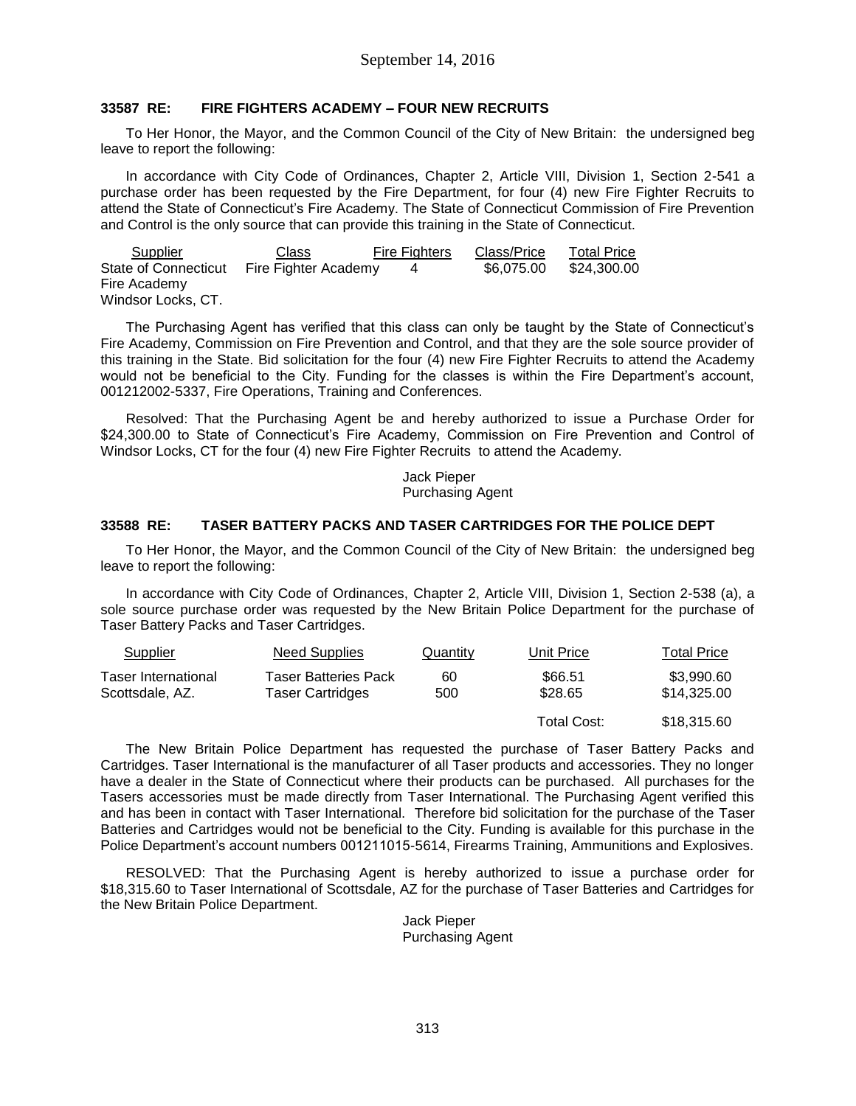# **33587 RE: FIRE FIGHTERS ACADEMY – FOUR NEW RECRUITS**

To Her Honor, the Mayor, and the Common Council of the City of New Britain: the undersigned beg leave to report the following:

In accordance with City Code of Ordinances, Chapter 2, Article VIII, Division 1, Section 2-541 a purchase order has been requested by the Fire Department, for four (4) new Fire Fighter Recruits to attend the State of Connecticut's Fire Academy. The State of Connecticut Commission of Fire Prevention and Control is the only source that can provide this training in the State of Connecticut.

| Supplier                    | Class                | <b>Fire Fighters</b> | Class/Price | <b>Total Price</b> |
|-----------------------------|----------------------|----------------------|-------------|--------------------|
| <b>State of Connecticut</b> | Fire Fighter Academy |                      | \$6,075,00  | \$24,300.00        |
| Fire Academy                |                      |                      |             |                    |
| Windsor Locks, CT.          |                      |                      |             |                    |

The Purchasing Agent has verified that this class can only be taught by the State of Connecticut's Fire Academy, Commission on Fire Prevention and Control, and that they are the sole source provider of this training in the State. Bid solicitation for the four (4) new Fire Fighter Recruits to attend the Academy would not be beneficial to the City. Funding for the classes is within the Fire Department's account, 001212002-5337, Fire Operations, Training and Conferences.

Resolved: That the Purchasing Agent be and hereby authorized to issue a Purchase Order for \$24,300.00 to State of Connecticut's Fire Academy, Commission on Fire Prevention and Control of Windsor Locks, CT for the four (4) new Fire Fighter Recruits to attend the Academy.

> Jack Pieper Purchasing Agent

# **33588 RE: TASER BATTERY PACKS AND TASER CARTRIDGES FOR THE POLICE DEPT**

To Her Honor, the Mayor, and the Common Council of the City of New Britain: the undersigned beg leave to report the following:

In accordance with City Code of Ordinances, Chapter 2, Article VIII, Division 1, Section 2-538 (a), a sole source purchase order was requested by the New Britain Police Department for the purchase of Taser Battery Packs and Taser Cartridges.

| Supplier                               | Need Supplies                                   | Quantity  | Unit Price         | Total Price               |
|----------------------------------------|-------------------------------------------------|-----------|--------------------|---------------------------|
| Taser International<br>Scottsdale, AZ. | <b>Taser Batteries Pack</b><br>Taser Cartridges | 60<br>500 | \$66.51<br>\$28.65 | \$3,990.60<br>\$14,325,00 |
|                                        |                                                 |           | Total Cost:        | \$18,315.60               |

The New Britain Police Department has requested the purchase of Taser Battery Packs and Cartridges. Taser International is the manufacturer of all Taser products and accessories. They no longer have a dealer in the State of Connecticut where their products can be purchased. All purchases for the Tasers accessories must be made directly from Taser International. The Purchasing Agent verified this and has been in contact with Taser International. Therefore bid solicitation for the purchase of the Taser Batteries and Cartridges would not be beneficial to the City. Funding is available for this purchase in the Police Department's account numbers 001211015-5614, Firearms Training, Ammunitions and Explosives.

RESOLVED: That the Purchasing Agent is hereby authorized to issue a purchase order for \$18,315.60 to Taser International of Scottsdale, AZ for the purchase of Taser Batteries and Cartridges for the New Britain Police Department.

> Jack Pieper Purchasing Agent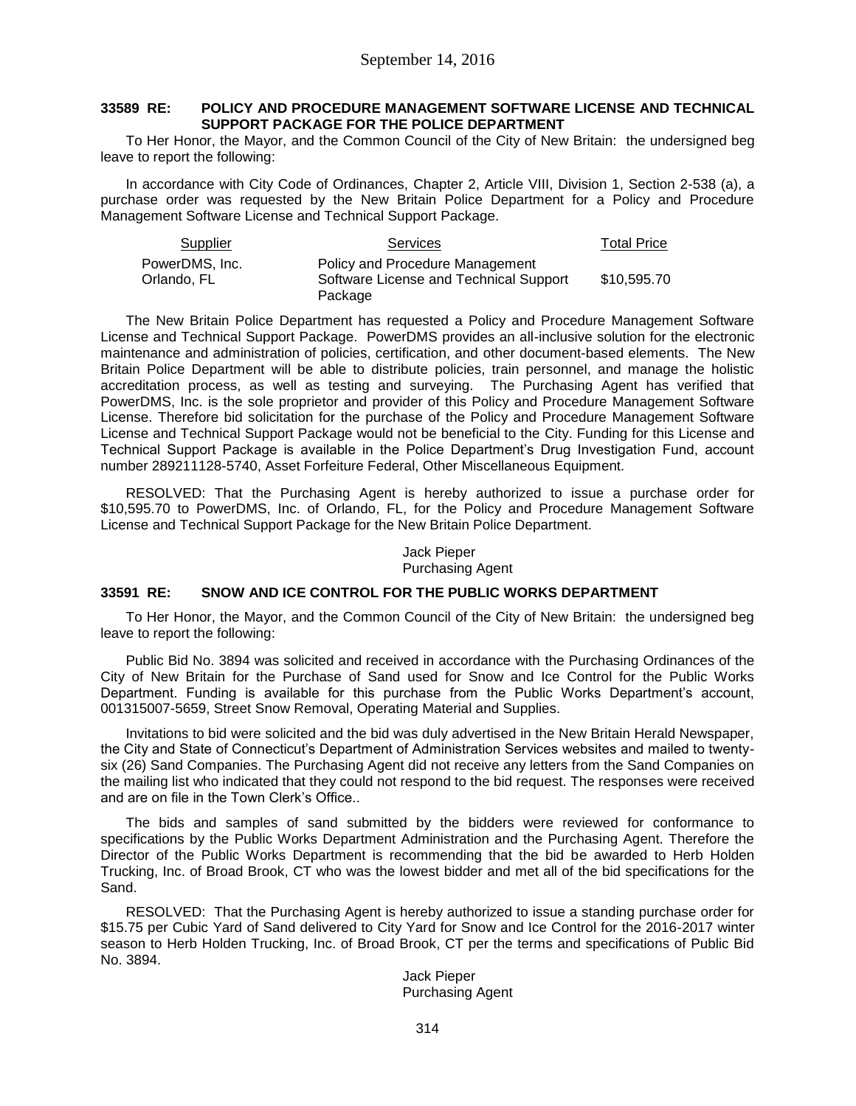## **33589 RE: POLICY AND PROCEDURE MANAGEMENT SOFTWARE LICENSE AND TECHNICAL SUPPORT PACKAGE FOR THE POLICE DEPARTMENT**

To Her Honor, the Mayor, and the Common Council of the City of New Britain: the undersigned beg leave to report the following:

In accordance with City Code of Ordinances, Chapter 2, Article VIII, Division 1, Section 2-538 (a), a purchase order was requested by the New Britain Police Department for a Policy and Procedure Management Software License and Technical Support Package.

| Supplier       | <b>Services</b>                        | <b>Total Price</b> |
|----------------|----------------------------------------|--------------------|
| PowerDMS, Inc. | Policy and Procedure Management        |                    |
| Orlando. FL    | Software License and Technical Support | \$10,595.70        |
|                | Package                                |                    |

The New Britain Police Department has requested a Policy and Procedure Management Software License and Technical Support Package. PowerDMS provides an all-inclusive solution for the electronic maintenance and administration of policies, certification, and other document-based elements. The New Britain Police Department will be able to distribute policies, train personnel, and manage the holistic accreditation process, as well as testing and surveying. The Purchasing Agent has verified that PowerDMS, Inc. is the sole proprietor and provider of this Policy and Procedure Management Software License. Therefore bid solicitation for the purchase of the Policy and Procedure Management Software License and Technical Support Package would not be beneficial to the City. Funding for this License and Technical Support Package is available in the Police Department's Drug Investigation Fund, account number 289211128-5740, Asset Forfeiture Federal, Other Miscellaneous Equipment.

RESOLVED: That the Purchasing Agent is hereby authorized to issue a purchase order for \$10,595.70 to PowerDMS, Inc. of Orlando, FL, for the Policy and Procedure Management Software License and Technical Support Package for the New Britain Police Department.

#### Jack Pieper Purchasing Agent

## **33591 RE: SNOW AND ICE CONTROL FOR THE PUBLIC WORKS DEPARTMENT**

To Her Honor, the Mayor, and the Common Council of the City of New Britain: the undersigned beg leave to report the following:

Public Bid No. 3894 was solicited and received in accordance with the Purchasing Ordinances of the City of New Britain for the Purchase of Sand used for Snow and Ice Control for the Public Works Department. Funding is available for this purchase from the Public Works Department's account, 001315007-5659, Street Snow Removal, Operating Material and Supplies.

Invitations to bid were solicited and the bid was duly advertised in the New Britain Herald Newspaper, the City and State of Connecticut's Department of Administration Services websites and mailed to twentysix (26) Sand Companies. The Purchasing Agent did not receive any letters from the Sand Companies on the mailing list who indicated that they could not respond to the bid request. The responses were received and are on file in the Town Clerk's Office..

The bids and samples of sand submitted by the bidders were reviewed for conformance to specifications by the Public Works Department Administration and the Purchasing Agent. Therefore the Director of the Public Works Department is recommending that the bid be awarded to Herb Holden Trucking, Inc. of Broad Brook, CT who was the lowest bidder and met all of the bid specifications for the Sand.

RESOLVED: That the Purchasing Agent is hereby authorized to issue a standing purchase order for \$15.75 per Cubic Yard of Sand delivered to City Yard for Snow and Ice Control for the 2016-2017 winter season to Herb Holden Trucking, Inc. of Broad Brook, CT per the terms and specifications of Public Bid No. 3894.

> Jack Pieper Purchasing Agent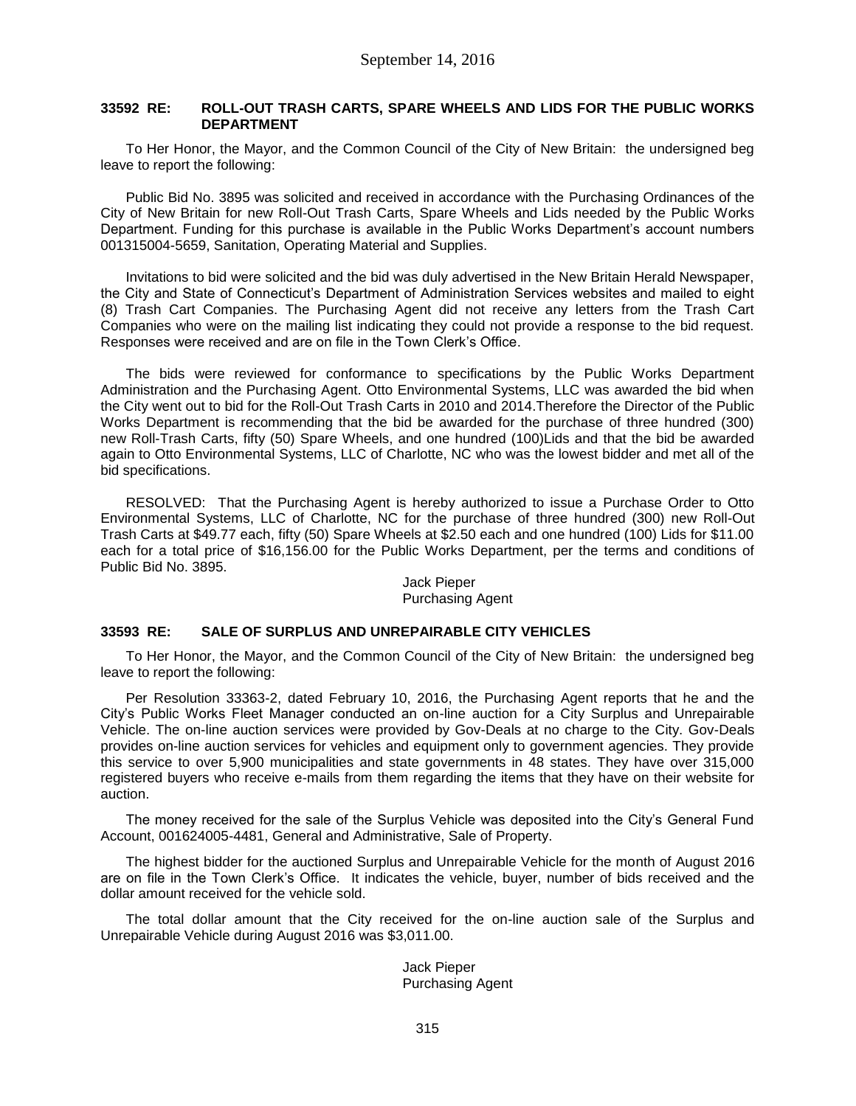# **33592 RE: ROLL-OUT TRASH CARTS, SPARE WHEELS AND LIDS FOR THE PUBLIC WORKS DEPARTMENT**

To Her Honor, the Mayor, and the Common Council of the City of New Britain: the undersigned beg leave to report the following:

Public Bid No. 3895 was solicited and received in accordance with the Purchasing Ordinances of the City of New Britain for new Roll-Out Trash Carts, Spare Wheels and Lids needed by the Public Works Department. Funding for this purchase is available in the Public Works Department's account numbers 001315004-5659, Sanitation, Operating Material and Supplies.

Invitations to bid were solicited and the bid was duly advertised in the New Britain Herald Newspaper, the City and State of Connecticut's Department of Administration Services websites and mailed to eight (8) Trash Cart Companies. The Purchasing Agent did not receive any letters from the Trash Cart Companies who were on the mailing list indicating they could not provide a response to the bid request. Responses were received and are on file in the Town Clerk's Office.

The bids were reviewed for conformance to specifications by the Public Works Department Administration and the Purchasing Agent. Otto Environmental Systems, LLC was awarded the bid when the City went out to bid for the Roll-Out Trash Carts in 2010 and 2014.Therefore the Director of the Public Works Department is recommending that the bid be awarded for the purchase of three hundred (300) new Roll-Trash Carts, fifty (50) Spare Wheels, and one hundred (100)Lids and that the bid be awarded again to Otto Environmental Systems, LLC of Charlotte, NC who was the lowest bidder and met all of the bid specifications.

RESOLVED: That the Purchasing Agent is hereby authorized to issue a Purchase Order to Otto Environmental Systems, LLC of Charlotte, NC for the purchase of three hundred (300) new Roll-Out Trash Carts at \$49.77 each, fifty (50) Spare Wheels at \$2.50 each and one hundred (100) Lids for \$11.00 each for a total price of \$16,156.00 for the Public Works Department, per the terms and conditions of Public Bid No. 3895.

#### Jack Pieper Purchasing Agent

## **33593 RE: SALE OF SURPLUS AND UNREPAIRABLE CITY VEHICLES**

To Her Honor, the Mayor, and the Common Council of the City of New Britain: the undersigned beg leave to report the following:

Per Resolution 33363-2, dated February 10, 2016, the Purchasing Agent reports that he and the City's Public Works Fleet Manager conducted an on-line auction for a City Surplus and Unrepairable Vehicle. The on-line auction services were provided by Gov-Deals at no charge to the City. Gov-Deals provides on-line auction services for vehicles and equipment only to government agencies. They provide this service to over 5,900 municipalities and state governments in 48 states. They have over 315,000 registered buyers who receive e-mails from them regarding the items that they have on their website for auction.

The money received for the sale of the Surplus Vehicle was deposited into the City's General Fund Account, 001624005-4481, General and Administrative, Sale of Property.

The highest bidder for the auctioned Surplus and Unrepairable Vehicle for the month of August 2016 are on file in the Town Clerk's Office. It indicates the vehicle, buyer, number of bids received and the dollar amount received for the vehicle sold.

The total dollar amount that the City received for the on-line auction sale of the Surplus and Unrepairable Vehicle during August 2016 was \$3,011.00.

> Jack Pieper Purchasing Agent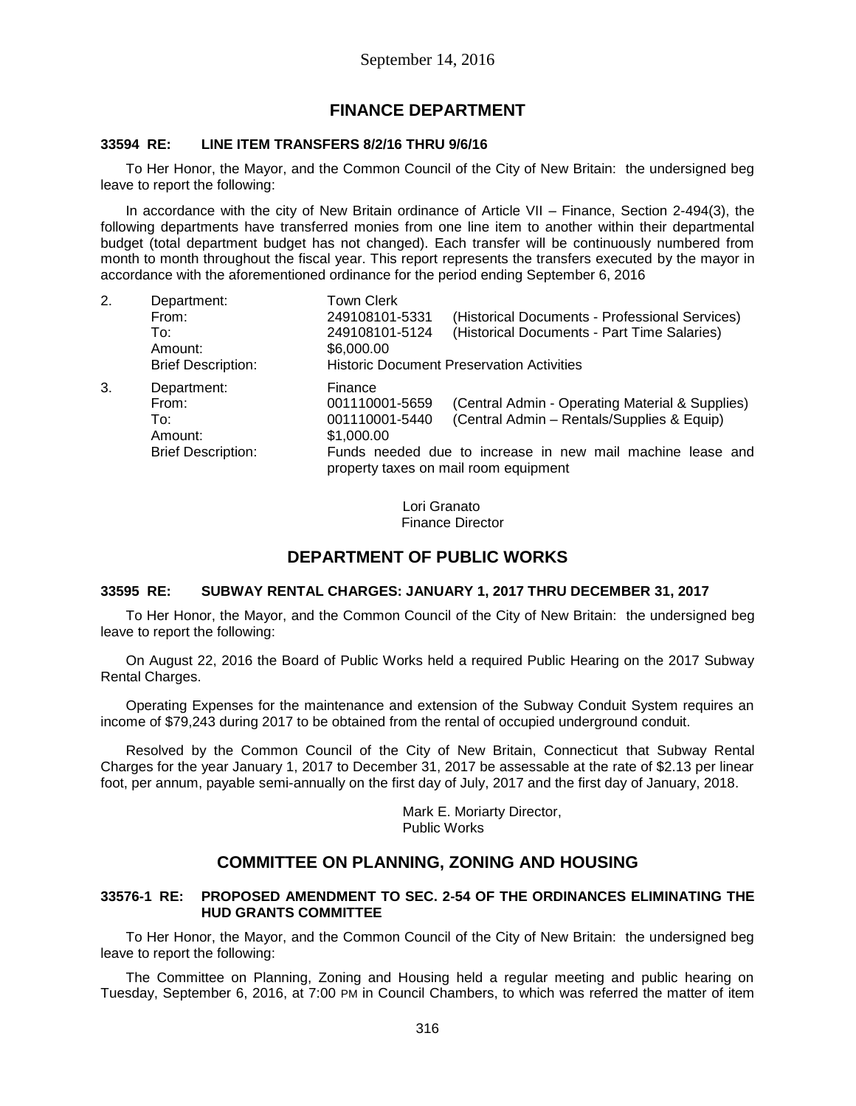# **FINANCE DEPARTMENT**

# **33594 RE: LINE ITEM TRANSFERS 8/2/16 THRU 9/6/16**

To Her Honor, the Mayor, and the Common Council of the City of New Britain: the undersigned beg leave to report the following:

In accordance with the city of New Britain ordinance of Article VII – Finance, Section 2-494(3), the following departments have transferred monies from one line item to another within their departmental budget (total department budget has not changed). Each transfer will be continuously numbered from month to month throughout the fiscal year. This report represents the transfers executed by the mayor in accordance with the aforementioned ordinance for the period ending September 6, 2016

| 2. | Department:<br>From:<br>To:<br>Amount:<br><b>Brief Description:</b> | <b>Town Clerk</b><br>249108101-5331<br>(Historical Documents - Professional Services)<br>(Historical Documents - Part Time Salaries)<br>249108101-5124<br>\$6,000.00<br><b>Historic Document Preservation Activities</b> |
|----|---------------------------------------------------------------------|--------------------------------------------------------------------------------------------------------------------------------------------------------------------------------------------------------------------------|
|    |                                                                     |                                                                                                                                                                                                                          |
| 3. | Department:<br>From:<br>To:                                         | Finance<br>(Central Admin - Operating Material & Supplies)<br>001110001-5659<br>(Central Admin - Rentals/Supplies & Equip)<br>001110001-5440                                                                             |
|    | Amount:                                                             | \$1,000.00                                                                                                                                                                                                               |
|    | <b>Brief Description:</b>                                           | Funds needed due to increase in new mail machine lease and<br>property taxes on mail room equipment                                                                                                                      |

Lori Granato Finance Director

# **DEPARTMENT OF PUBLIC WORKS**

## **33595 RE: SUBWAY RENTAL CHARGES: JANUARY 1, 2017 THRU DECEMBER 31, 2017**

To Her Honor, the Mayor, and the Common Council of the City of New Britain: the undersigned beg leave to report the following:

On August 22, 2016 the Board of Public Works held a required Public Hearing on the 2017 Subway Rental Charges.

Operating Expenses for the maintenance and extension of the Subway Conduit System requires an income of \$79,243 during 2017 to be obtained from the rental of occupied underground conduit.

Resolved by the Common Council of the City of New Britain, Connecticut that Subway Rental Charges for the year January 1, 2017 to December 31, 2017 be assessable at the rate of \$2.13 per linear foot, per annum, payable semi-annually on the first day of July, 2017 and the first day of January, 2018.

> Mark E. Moriarty Director, Public Works

# **COMMITTEE ON PLANNING, ZONING AND HOUSING**

## **33576-1 RE: PROPOSED AMENDMENT TO SEC. 2-54 OF THE ORDINANCES ELIMINATING THE HUD GRANTS COMMITTEE**

To Her Honor, the Mayor, and the Common Council of the City of New Britain: the undersigned beg leave to report the following:

The Committee on Planning, Zoning and Housing held a regular meeting and public hearing on Tuesday, September 6, 2016, at 7:00 PM in Council Chambers, to which was referred the matter of item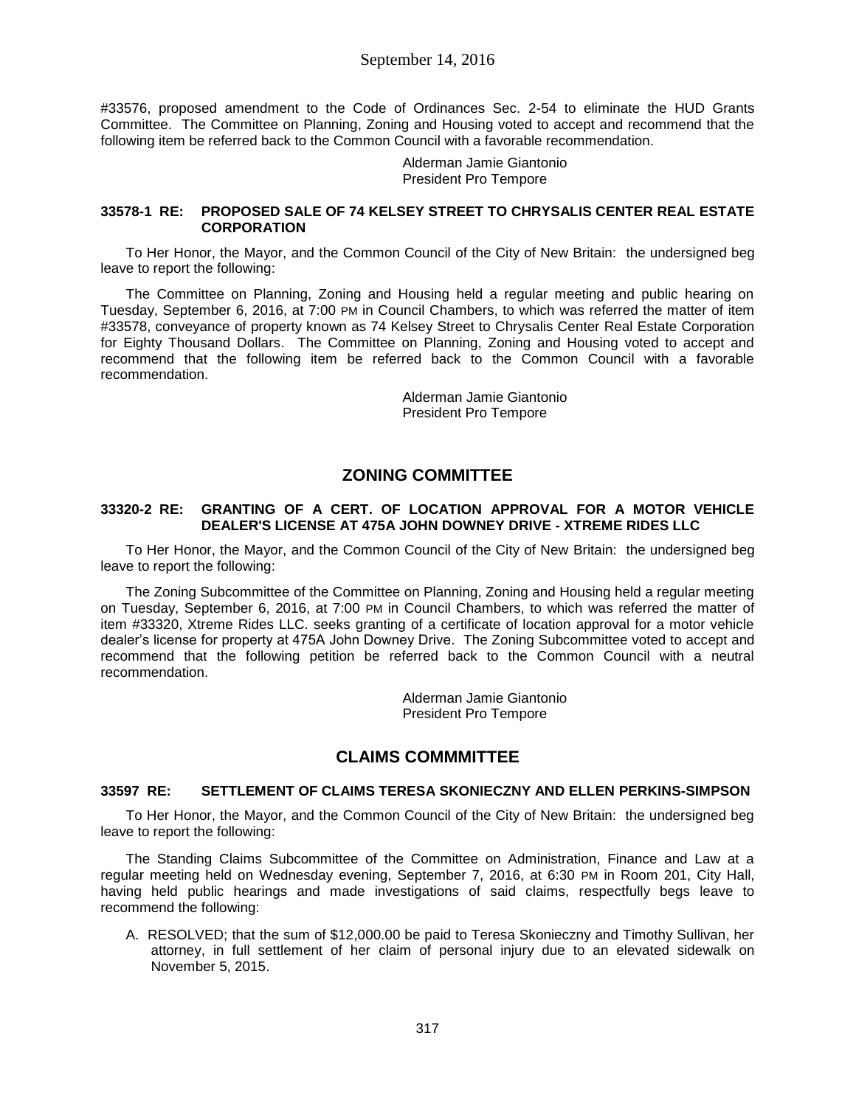# September 14, 2016

#33576, proposed amendment to the Code of Ordinances Sec. 2-54 to eliminate the HUD Grants Committee. The Committee on Planning, Zoning and Housing voted to accept and recommend that the following item be referred back to the Common Council with a favorable recommendation.

> Alderman Jamie Giantonio President Pro Tempore

# **33578-1 RE: PROPOSED SALE OF 74 KELSEY STREET TO CHRYSALIS CENTER REAL ESTATE CORPORATION**

To Her Honor, the Mayor, and the Common Council of the City of New Britain: the undersigned beg leave to report the following:

The Committee on Planning, Zoning and Housing held a regular meeting and public hearing on Tuesday, September 6, 2016, at 7:00 PM in Council Chambers, to which was referred the matter of item #33578, conveyance of property known as 74 Kelsey Street to Chrysalis Center Real Estate Corporation for Eighty Thousand Dollars. The Committee on Planning, Zoning and Housing voted to accept and recommend that the following item be referred back to the Common Council with a favorable recommendation.

> Alderman Jamie Giantonio President Pro Tempore

# **ZONING COMMITTEE**

### **33320-2 RE: GRANTING OF A CERT. OF LOCATION APPROVAL FOR A MOTOR VEHICLE DEALER'S LICENSE AT 475A JOHN DOWNEY DRIVE - XTREME RIDES LLC**

To Her Honor, the Mayor, and the Common Council of the City of New Britain: the undersigned beg leave to report the following:

The Zoning Subcommittee of the Committee on Planning, Zoning and Housing held a regular meeting on Tuesday, September 6, 2016, at 7:00 PM in Council Chambers, to which was referred the matter of item #33320, Xtreme Rides LLC. seeks granting of a certificate of location approval for a motor vehicle dealer's license for property at 475A John Downey Drive. The Zoning Subcommittee voted to accept and recommend that the following petition be referred back to the Common Council with a neutral recommendation.

> Alderman Jamie Giantonio President Pro Tempore

# **CLAIMS COMMMITTEE**

# **33597 RE: SETTLEMENT OF CLAIMS TERESA SKONIECZNY AND ELLEN PERKINS-SIMPSON**

To Her Honor, the Mayor, and the Common Council of the City of New Britain: the undersigned beg leave to report the following:

The Standing Claims Subcommittee of the Committee on Administration, Finance and Law at a regular meeting held on Wednesday evening, September 7, 2016, at 6:30 PM in Room 201, City Hall, having held public hearings and made investigations of said claims, respectfully begs leave to recommend the following:

A. RESOLVED; that the sum of \$12,000.00 be paid to Teresa Skonieczny and Timothy Sullivan, her attorney, in full settlement of her claim of personal injury due to an elevated sidewalk on November 5, 2015.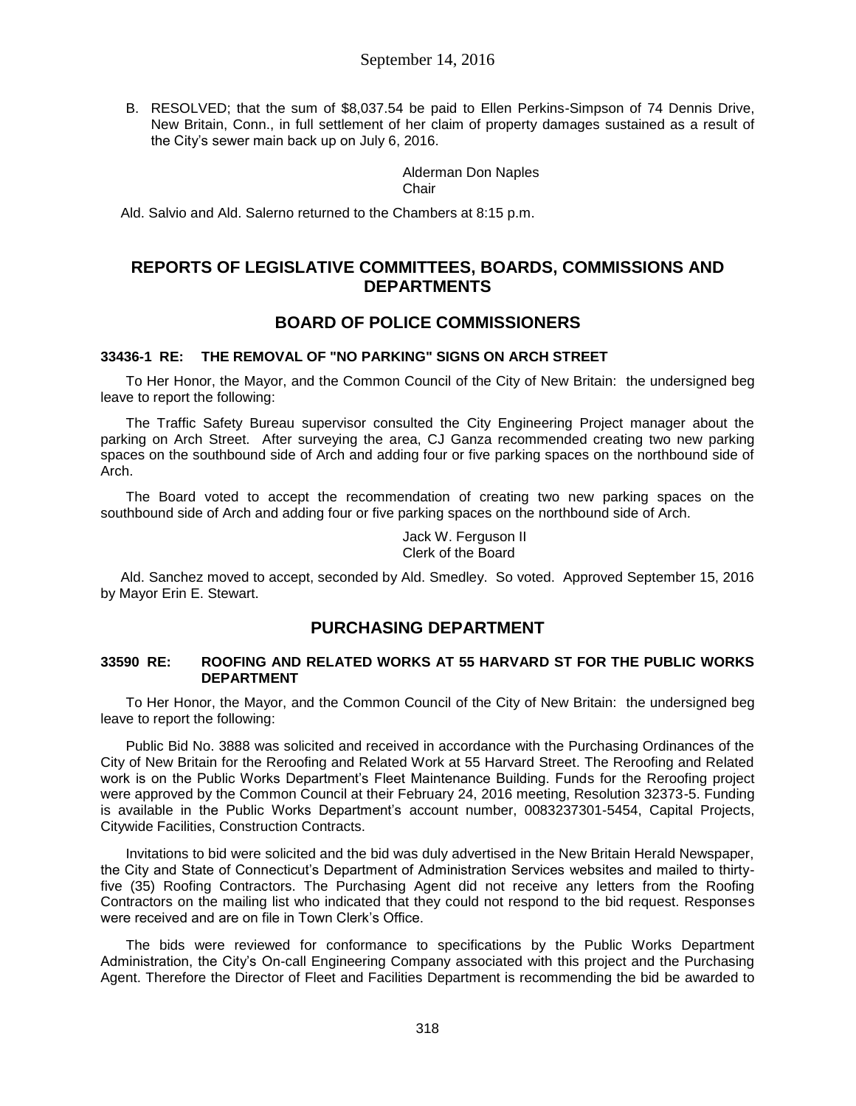B. RESOLVED; that the sum of \$8,037.54 be paid to Ellen Perkins-Simpson of 74 Dennis Drive, New Britain, Conn., in full settlement of her claim of property damages sustained as a result of the City's sewer main back up on July 6, 2016.

> Alderman Don Naples Chair

Ald. Salvio and Ald. Salerno returned to the Chambers at 8:15 p.m.

# **REPORTS OF LEGISLATIVE COMMITTEES, BOARDS, COMMISSIONS AND DEPARTMENTS**

# **BOARD OF POLICE COMMISSIONERS**

# **33436-1 RE: THE REMOVAL OF "NO PARKING" SIGNS ON ARCH STREET**

To Her Honor, the Mayor, and the Common Council of the City of New Britain: the undersigned beg leave to report the following:

The Traffic Safety Bureau supervisor consulted the City Engineering Project manager about the parking on Arch Street. After surveying the area, CJ Ganza recommended creating two new parking spaces on the southbound side of Arch and adding four or five parking spaces on the northbound side of Arch.

The Board voted to accept the recommendation of creating two new parking spaces on the southbound side of Arch and adding four or five parking spaces on the northbound side of Arch.

Jack W. Ferguson II Clerk of the Board

Ald. Sanchez moved to accept, seconded by Ald. Smedley. So voted. Approved September 15, 2016 by Mayor Erin E. Stewart.

# **PURCHASING DEPARTMENT**

#### **33590 RE: ROOFING AND RELATED WORKS AT 55 HARVARD ST FOR THE PUBLIC WORKS DEPARTMENT**

To Her Honor, the Mayor, and the Common Council of the City of New Britain: the undersigned beg leave to report the following:

Public Bid No. 3888 was solicited and received in accordance with the Purchasing Ordinances of the City of New Britain for the Reroofing and Related Work at 55 Harvard Street. The Reroofing and Related work is on the Public Works Department's Fleet Maintenance Building. Funds for the Reroofing project were approved by the Common Council at their February 24, 2016 meeting, Resolution 32373-5. Funding is available in the Public Works Department's account number, 0083237301-5454, Capital Projects, Citywide Facilities, Construction Contracts.

Invitations to bid were solicited and the bid was duly advertised in the New Britain Herald Newspaper, the City and State of Connecticut's Department of Administration Services websites and mailed to thirtyfive (35) Roofing Contractors. The Purchasing Agent did not receive any letters from the Roofing Contractors on the mailing list who indicated that they could not respond to the bid request. Responses were received and are on file in Town Clerk's Office.

The bids were reviewed for conformance to specifications by the Public Works Department Administration, the City's On-call Engineering Company associated with this project and the Purchasing Agent. Therefore the Director of Fleet and Facilities Department is recommending the bid be awarded to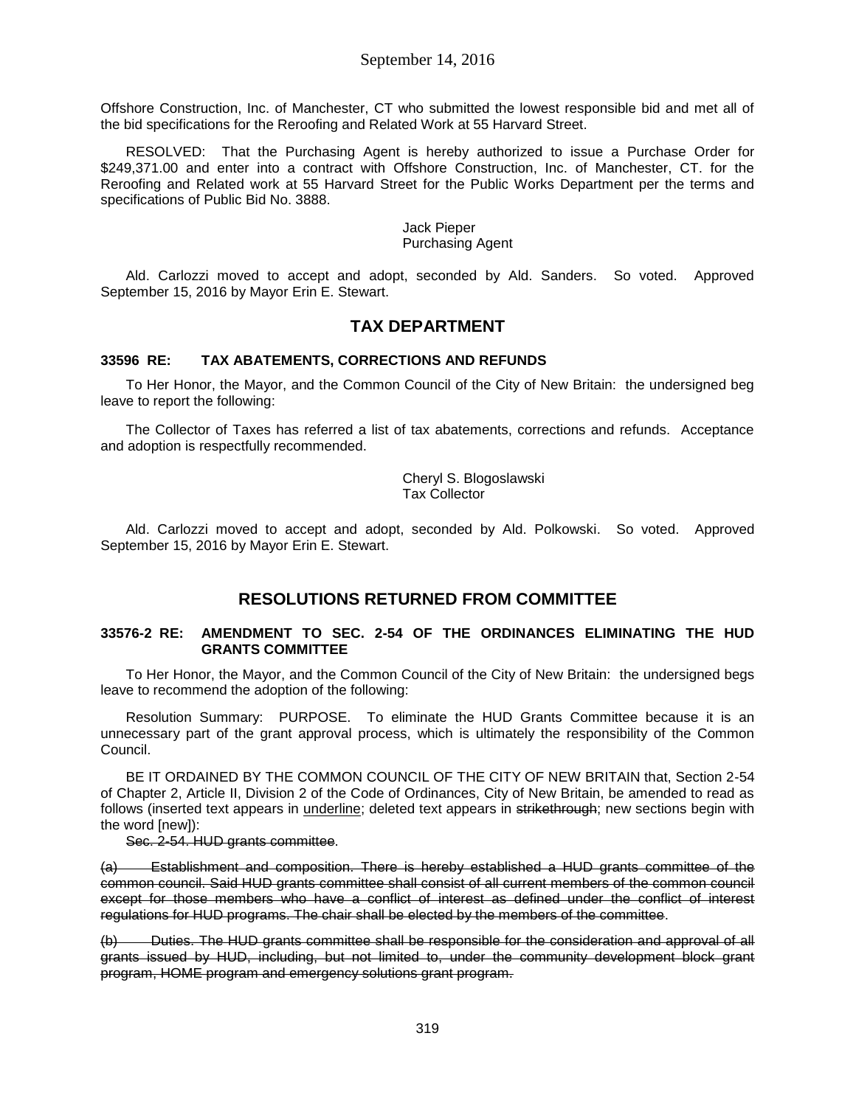Offshore Construction, Inc. of Manchester, CT who submitted the lowest responsible bid and met all of the bid specifications for the Reroofing and Related Work at 55 Harvard Street.

RESOLVED: That the Purchasing Agent is hereby authorized to issue a Purchase Order for \$249,371.00 and enter into a contract with Offshore Construction, Inc. of Manchester, CT. for the Reroofing and Related work at 55 Harvard Street for the Public Works Department per the terms and specifications of Public Bid No. 3888.

#### Jack Pieper Purchasing Agent

Ald. Carlozzi moved to accept and adopt, seconded by Ald. Sanders. So voted. Approved September 15, 2016 by Mayor Erin E. Stewart.

# **TAX DEPARTMENT**

# **33596 RE: TAX ABATEMENTS, CORRECTIONS AND REFUNDS**

To Her Honor, the Mayor, and the Common Council of the City of New Britain: the undersigned beg leave to report the following:

The Collector of Taxes has referred a list of tax abatements, corrections and refunds. Acceptance and adoption is respectfully recommended.

> Cheryl S. Blogoslawski Tax Collector

Ald. Carlozzi moved to accept and adopt, seconded by Ald. Polkowski. So voted. Approved September 15, 2016 by Mayor Erin E. Stewart.

# **RESOLUTIONS RETURNED FROM COMMITTEE**

## **33576-2 RE: AMENDMENT TO SEC. 2-54 OF THE ORDINANCES ELIMINATING THE HUD GRANTS COMMITTEE**

To Her Honor, the Mayor, and the Common Council of the City of New Britain: the undersigned begs leave to recommend the adoption of the following:

Resolution Summary: PURPOSE. To eliminate the HUD Grants Committee because it is an unnecessary part of the grant approval process, which is ultimately the responsibility of the Common Council.

BE IT ORDAINED BY THE COMMON COUNCIL OF THE CITY OF NEW BRITAIN that, Section 2-54 of Chapter 2, Article II, Division 2 of the Code of Ordinances, City of New Britain, be amended to read as follows (inserted text appears in underline; deleted text appears in strikethrough; new sections begin with the word [new]):

Sec. 2-54. HUD grants committee.

(a) Establishment and composition. There is hereby established a HUD grants committee of the common council. Said HUD grants committee shall consist of all current members of the common council except for those members who have a conflict of interest as defined under the conflict of interest regulations for HUD programs. The chair shall be elected by the members of the committee.

(b) Duties. The HUD grants committee shall be responsible for the consideration and approval of all grants issued by HUD, including, but not limited to, under the community development block grant program, HOME program and emergency solutions grant program.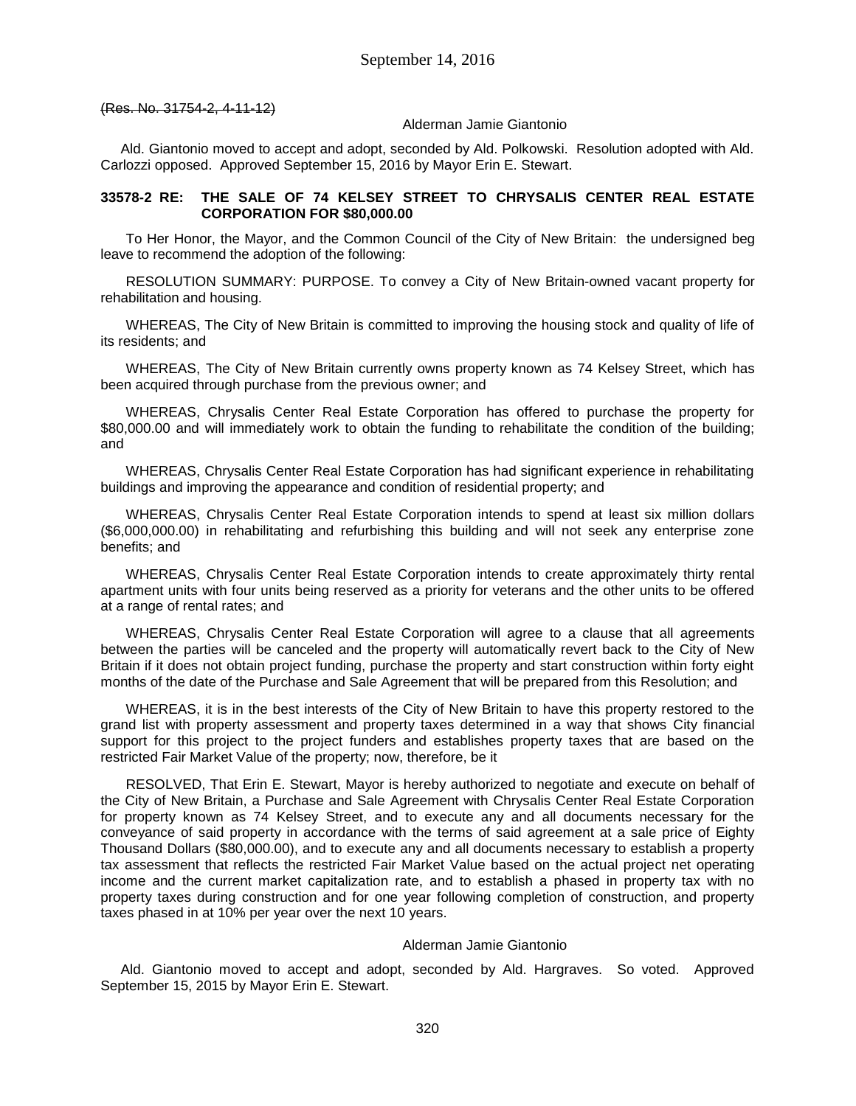(Res. No. 31754-2, 4-11-12)

#### Alderman Jamie Giantonio

Ald. Giantonio moved to accept and adopt, seconded by Ald. Polkowski. Resolution adopted with Ald. Carlozzi opposed. Approved September 15, 2016 by Mayor Erin E. Stewart.

# **33578-2 RE: THE SALE OF 74 KELSEY STREET TO CHRYSALIS CENTER REAL ESTATE CORPORATION FOR \$80,000.00**

To Her Honor, the Mayor, and the Common Council of the City of New Britain: the undersigned beg leave to recommend the adoption of the following:

RESOLUTION SUMMARY: PURPOSE. To convey a City of New Britain-owned vacant property for rehabilitation and housing.

WHEREAS, The City of New Britain is committed to improving the housing stock and quality of life of its residents; and

WHEREAS, The City of New Britain currently owns property known as 74 Kelsey Street, which has been acquired through purchase from the previous owner; and

WHEREAS, Chrysalis Center Real Estate Corporation has offered to purchase the property for \$80,000.00 and will immediately work to obtain the funding to rehabilitate the condition of the building; and

WHEREAS, Chrysalis Center Real Estate Corporation has had significant experience in rehabilitating buildings and improving the appearance and condition of residential property; and

WHEREAS, Chrysalis Center Real Estate Corporation intends to spend at least six million dollars (\$6,000,000.00) in rehabilitating and refurbishing this building and will not seek any enterprise zone benefits; and

WHEREAS, Chrysalis Center Real Estate Corporation intends to create approximately thirty rental apartment units with four units being reserved as a priority for veterans and the other units to be offered at a range of rental rates; and

WHEREAS, Chrysalis Center Real Estate Corporation will agree to a clause that all agreements between the parties will be canceled and the property will automatically revert back to the City of New Britain if it does not obtain project funding, purchase the property and start construction within forty eight months of the date of the Purchase and Sale Agreement that will be prepared from this Resolution; and

WHEREAS, it is in the best interests of the City of New Britain to have this property restored to the grand list with property assessment and property taxes determined in a way that shows City financial support for this project to the project funders and establishes property taxes that are based on the restricted Fair Market Value of the property; now, therefore, be it

RESOLVED, That Erin E. Stewart, Mayor is hereby authorized to negotiate and execute on behalf of the City of New Britain, a Purchase and Sale Agreement with Chrysalis Center Real Estate Corporation for property known as 74 Kelsey Street, and to execute any and all documents necessary for the conveyance of said property in accordance with the terms of said agreement at a sale price of Eighty Thousand Dollars (\$80,000.00), and to execute any and all documents necessary to establish a property tax assessment that reflects the restricted Fair Market Value based on the actual project net operating income and the current market capitalization rate, and to establish a phased in property tax with no property taxes during construction and for one year following completion of construction, and property taxes phased in at 10% per year over the next 10 years.

#### Alderman Jamie Giantonio

Ald. Giantonio moved to accept and adopt, seconded by Ald. Hargraves. So voted. Approved September 15, 2015 by Mayor Erin E. Stewart.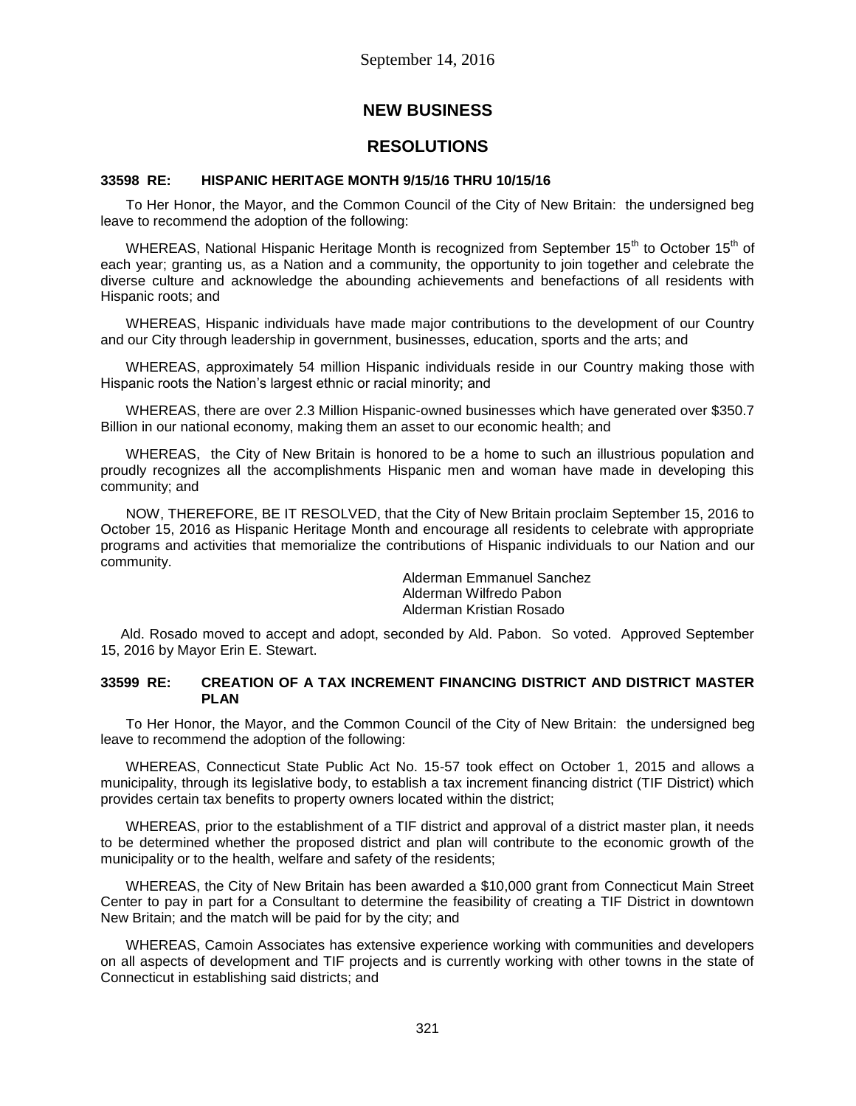# **NEW BUSINESS**

# **RESOLUTIONS**

# **33598 RE: HISPANIC HERITAGE MONTH 9/15/16 THRU 10/15/16**

To Her Honor, the Mayor, and the Common Council of the City of New Britain: the undersigned beg leave to recommend the adoption of the following:

WHEREAS, National Hispanic Heritage Month is recognized from September 15<sup>th</sup> to October 15<sup>th</sup> of each year; granting us, as a Nation and a community, the opportunity to join together and celebrate the diverse culture and acknowledge the abounding achievements and benefactions of all residents with Hispanic roots; and

WHEREAS, Hispanic individuals have made major contributions to the development of our Country and our City through leadership in government, businesses, education, sports and the arts; and

WHEREAS, approximately 54 million Hispanic individuals reside in our Country making those with Hispanic roots the Nation's largest ethnic or racial minority; and

WHEREAS, there are over 2.3 Million Hispanic-owned businesses which have generated over \$350.7 Billion in our national economy, making them an asset to our economic health; and

WHEREAS, the City of New Britain is honored to be a home to such an illustrious population and proudly recognizes all the accomplishments Hispanic men and woman have made in developing this community; and

NOW, THEREFORE, BE IT RESOLVED, that the City of New Britain proclaim September 15, 2016 to October 15, 2016 as Hispanic Heritage Month and encourage all residents to celebrate with appropriate programs and activities that memorialize the contributions of Hispanic individuals to our Nation and our community.

> Alderman Emmanuel Sanchez Alderman Wilfredo Pabon Alderman Kristian Rosado

Ald. Rosado moved to accept and adopt, seconded by Ald. Pabon. So voted. Approved September 15, 2016 by Mayor Erin E. Stewart.

## **33599 RE: CREATION OF A TAX INCREMENT FINANCING DISTRICT AND DISTRICT MASTER PLAN**

To Her Honor, the Mayor, and the Common Council of the City of New Britain: the undersigned beg leave to recommend the adoption of the following:

WHEREAS, Connecticut State Public Act No. 15-57 took effect on October 1, 2015 and allows a municipality, through its legislative body, to establish a tax increment financing district (TIF District) which provides certain tax benefits to property owners located within the district;

WHEREAS, prior to the establishment of a TIF district and approval of a district master plan, it needs to be determined whether the proposed district and plan will contribute to the economic growth of the municipality or to the health, welfare and safety of the residents;

WHEREAS, the City of New Britain has been awarded a \$10,000 grant from Connecticut Main Street Center to pay in part for a Consultant to determine the feasibility of creating a TIF District in downtown New Britain; and the match will be paid for by the city; and

WHEREAS, Camoin Associates has extensive experience working with communities and developers on all aspects of development and TIF projects and is currently working with other towns in the state of Connecticut in establishing said districts; and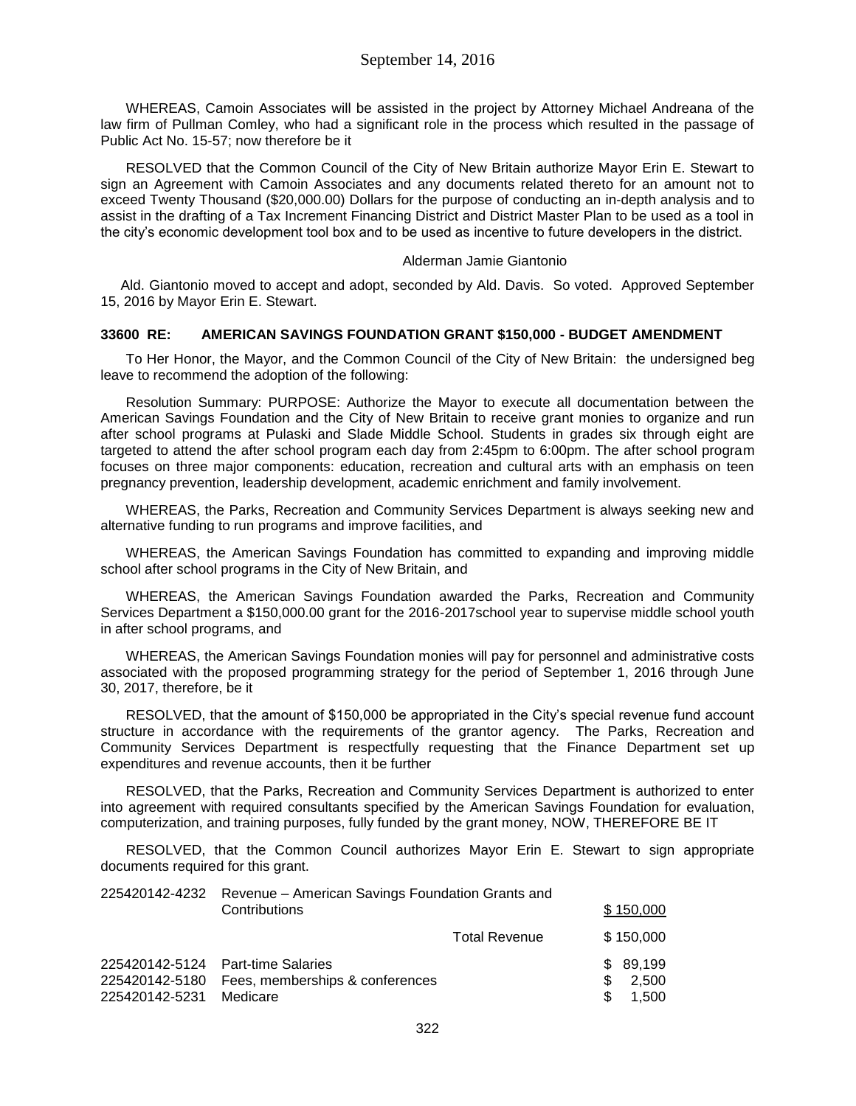WHEREAS, Camoin Associates will be assisted in the project by Attorney Michael Andreana of the law firm of Pullman Comley, who had a significant role in the process which resulted in the passage of Public Act No. 15-57; now therefore be it

RESOLVED that the Common Council of the City of New Britain authorize Mayor Erin E. Stewart to sign an Agreement with Camoin Associates and any documents related thereto for an amount not to exceed Twenty Thousand (\$20,000.00) Dollars for the purpose of conducting an in-depth analysis and to assist in the drafting of a Tax Increment Financing District and District Master Plan to be used as a tool in the city's economic development tool box and to be used as incentive to future developers in the district.

### Alderman Jamie Giantonio

Ald. Giantonio moved to accept and adopt, seconded by Ald. Davis. So voted. Approved September 15, 2016 by Mayor Erin E. Stewart.

## **33600 RE: AMERICAN SAVINGS FOUNDATION GRANT \$150,000 - BUDGET AMENDMENT**

To Her Honor, the Mayor, and the Common Council of the City of New Britain: the undersigned beg leave to recommend the adoption of the following:

Resolution Summary: PURPOSE: Authorize the Mayor to execute all documentation between the American Savings Foundation and the City of New Britain to receive grant monies to organize and run after school programs at Pulaski and Slade Middle School. Students in grades six through eight are targeted to attend the after school program each day from 2:45pm to 6:00pm. The after school program focuses on three major components: education, recreation and cultural arts with an emphasis on teen pregnancy prevention, leadership development, academic enrichment and family involvement.

WHEREAS, the Parks, Recreation and Community Services Department is always seeking new and alternative funding to run programs and improve facilities, and

WHEREAS, the American Savings Foundation has committed to expanding and improving middle school after school programs in the City of New Britain, and

WHEREAS, the American Savings Foundation awarded the Parks, Recreation and Community Services Department a \$150,000.00 grant for the 2016-2017school year to supervise middle school youth in after school programs, and

WHEREAS, the American Savings Foundation monies will pay for personnel and administrative costs associated with the proposed programming strategy for the period of September 1, 2016 through June 30, 2017, therefore, be it

RESOLVED, that the amount of \$150,000 be appropriated in the City's special revenue fund account structure in accordance with the requirements of the grantor agency. The Parks, Recreation and Community Services Department is respectfully requesting that the Finance Department set up expenditures and revenue accounts, then it be further

RESOLVED, that the Parks, Recreation and Community Services Department is authorized to enter into agreement with required consultants specified by the American Savings Foundation for evaluation, computerization, and training purposes, fully funded by the grant money, NOW, THEREFORE BE IT

RESOLVED, that the Common Council authorizes Mayor Erin E. Stewart to sign appropriate documents required for this grant.

| 225420142-4232 Revenue - American Savings Foundation Grants and<br>Contributions |                                                                                                 |                      | \$150,000                  |
|----------------------------------------------------------------------------------|-------------------------------------------------------------------------------------------------|----------------------|----------------------------|
|                                                                                  |                                                                                                 | <b>Total Revenue</b> | \$150,000                  |
| 225420142-5231                                                                   | 225420142-5124 Part-time Salaries<br>225420142-5180 Fees, memberships & conferences<br>Medicare |                      | \$89,199<br>2.500<br>1.500 |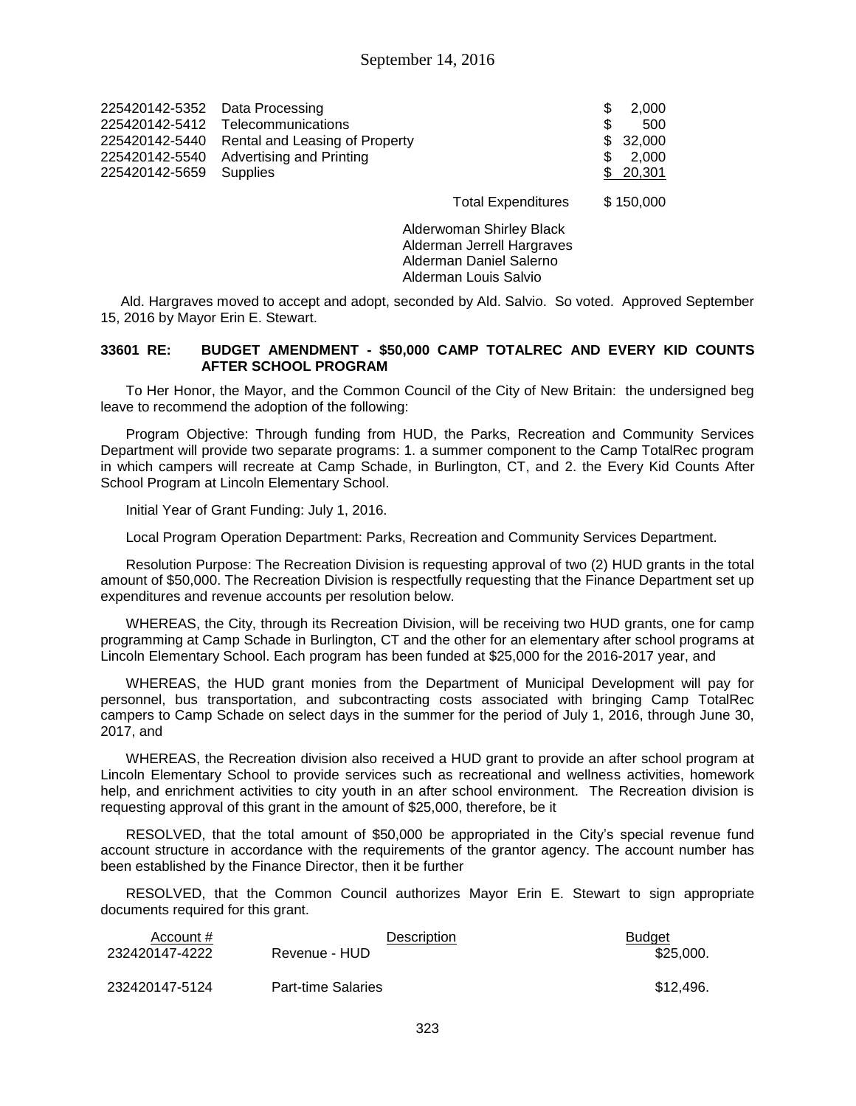| 225420142-5352 Data Processing | 225420142-5412 Telecommunications             |                           | -SS<br>£. | 2.000<br>500      |
|--------------------------------|-----------------------------------------------|---------------------------|-----------|-------------------|
|                                | 225420142-5440 Rental and Leasing of Property |                           |           | \$32,000          |
| 225420142-5659 Supplies        | 225420142-5540 Advertising and Printing       |                           | S.        | 2.000<br>\$20,301 |
|                                |                                               | <b>Total Expenditures</b> |           | \$150,000         |

Alderwoman Shirley Black Alderman Jerrell Hargraves Alderman Daniel Salerno Alderman Louis Salvio

Ald. Hargraves moved to accept and adopt, seconded by Ald. Salvio. So voted. Approved September 15, 2016 by Mayor Erin E. Stewart.

### **33601 RE: BUDGET AMENDMENT - \$50,000 CAMP TOTALREC AND EVERY KID COUNTS AFTER SCHOOL PROGRAM**

To Her Honor, the Mayor, and the Common Council of the City of New Britain: the undersigned beg leave to recommend the adoption of the following:

Program Objective: Through funding from HUD, the Parks, Recreation and Community Services Department will provide two separate programs: 1. a summer component to the Camp TotalRec program in which campers will recreate at Camp Schade, in Burlington, CT, and 2. the Every Kid Counts After School Program at Lincoln Elementary School.

Initial Year of Grant Funding: July 1, 2016.

Local Program Operation Department: Parks, Recreation and Community Services Department.

Resolution Purpose: The Recreation Division is requesting approval of two (2) HUD grants in the total amount of \$50,000. The Recreation Division is respectfully requesting that the Finance Department set up expenditures and revenue accounts per resolution below.

WHEREAS, the City, through its Recreation Division, will be receiving two HUD grants, one for camp programming at Camp Schade in Burlington, CT and the other for an elementary after school programs at Lincoln Elementary School. Each program has been funded at \$25,000 for the 2016-2017 year, and

WHEREAS, the HUD grant monies from the Department of Municipal Development will pay for personnel, bus transportation, and subcontracting costs associated with bringing Camp TotalRec campers to Camp Schade on select days in the summer for the period of July 1, 2016, through June 30, 2017, and

WHEREAS, the Recreation division also received a HUD grant to provide an after school program at Lincoln Elementary School to provide services such as recreational and wellness activities, homework help, and enrichment activities to city youth in an after school environment. The Recreation division is requesting approval of this grant in the amount of \$25,000, therefore, be it

RESOLVED, that the total amount of \$50,000 be appropriated in the City's special revenue fund account structure in accordance with the requirements of the grantor agency. The account number has been established by the Finance Director, then it be further

RESOLVED, that the Common Council authorizes Mayor Erin E. Stewart to sign appropriate documents required for this grant.

| Account #      | <b>Description</b>        | <b>Budget</b> |
|----------------|---------------------------|---------------|
| 232420147-4222 | Revenue - HUD             | \$25.000.     |
| 232420147-5124 | <b>Part-time Salaries</b> | \$12,496.     |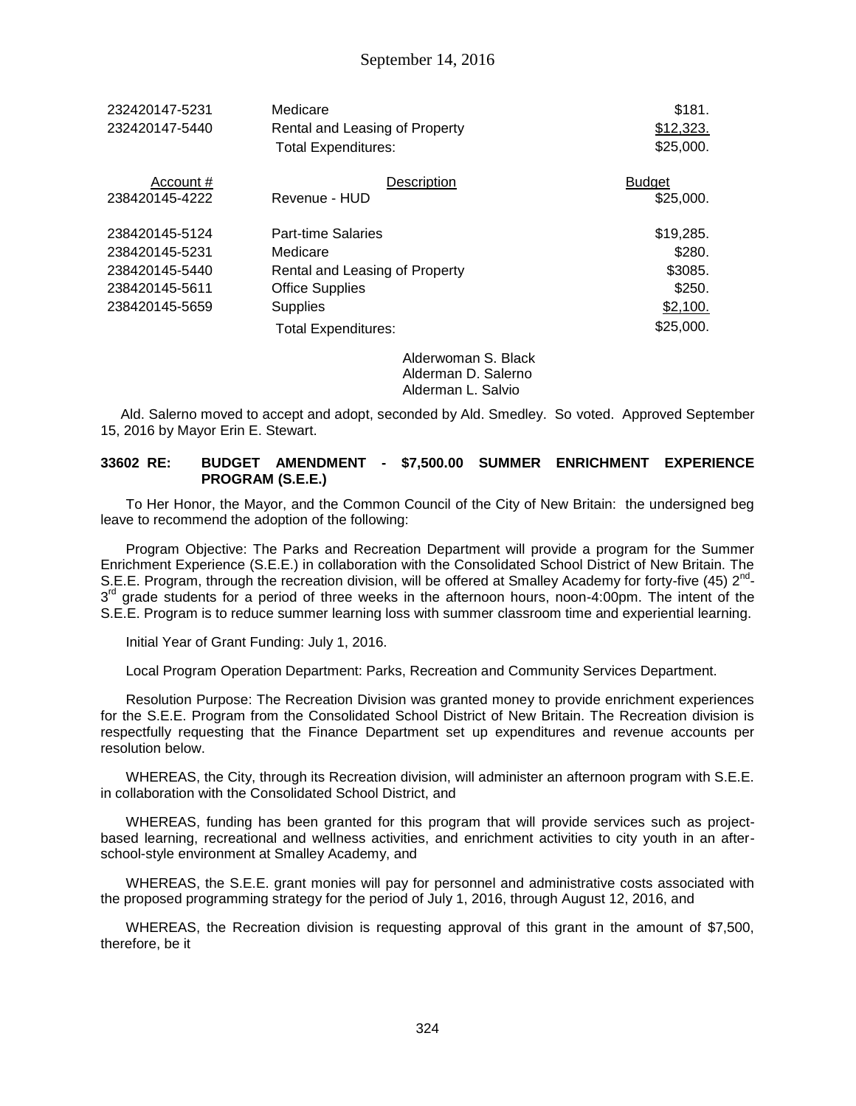| 232420147-5231 | Medicare                       | \$181.        |
|----------------|--------------------------------|---------------|
| 232420147-5440 | Rental and Leasing of Property | \$12,323.     |
|                | <b>Total Expenditures:</b>     | \$25,000.     |
| Account #      | Description                    | <b>Budget</b> |
| 238420145-4222 | Revenue - HUD                  | \$25,000.     |
| 238420145-5124 | <b>Part-time Salaries</b>      | \$19,285.     |
| 238420145-5231 | Medicare                       | \$280.        |
| 238420145-5440 | Rental and Leasing of Property | \$3085.       |
| 238420145-5611 | <b>Office Supplies</b>         | \$250.        |
| 238420145-5659 | <b>Supplies</b>                | \$2,100.      |
|                | Total Expenditures:            | \$25,000.     |

Alderwoman S. Black Alderman D. Salerno Alderman L. Salvio

Ald. Salerno moved to accept and adopt, seconded by Ald. Smedley. So voted. Approved September 15, 2016 by Mayor Erin E. Stewart.

### **33602 RE: BUDGET AMENDMENT - \$7,500.00 SUMMER ENRICHMENT EXPERIENCE PROGRAM (S.E.E.)**

To Her Honor, the Mayor, and the Common Council of the City of New Britain: the undersigned beg leave to recommend the adoption of the following:

Program Objective: The Parks and Recreation Department will provide a program for the Summer Enrichment Experience (S.E.E.) in collaboration with the Consolidated School District of New Britain. The S.E.E. Program, through the recreation division, will be offered at Smalley Academy for forty-five (45) 2<sup>nd</sup>-3<sup>rd</sup> grade students for a period of three weeks in the afternoon hours, noon-4:00pm. The intent of the S.E.E. Program is to reduce summer learning loss with summer classroom time and experiential learning.

Initial Year of Grant Funding: July 1, 2016.

Local Program Operation Department: Parks, Recreation and Community Services Department.

Resolution Purpose: The Recreation Division was granted money to provide enrichment experiences for the S.E.E. Program from the Consolidated School District of New Britain. The Recreation division is respectfully requesting that the Finance Department set up expenditures and revenue accounts per resolution below.

WHEREAS, the City, through its Recreation division, will administer an afternoon program with S.E.E. in collaboration with the Consolidated School District, and

WHEREAS, funding has been granted for this program that will provide services such as projectbased learning, recreational and wellness activities, and enrichment activities to city youth in an afterschool-style environment at Smalley Academy, and

WHEREAS, the S.E.E. grant monies will pay for personnel and administrative costs associated with the proposed programming strategy for the period of July 1, 2016, through August 12, 2016, and

WHEREAS, the Recreation division is requesting approval of this grant in the amount of \$7,500, therefore, be it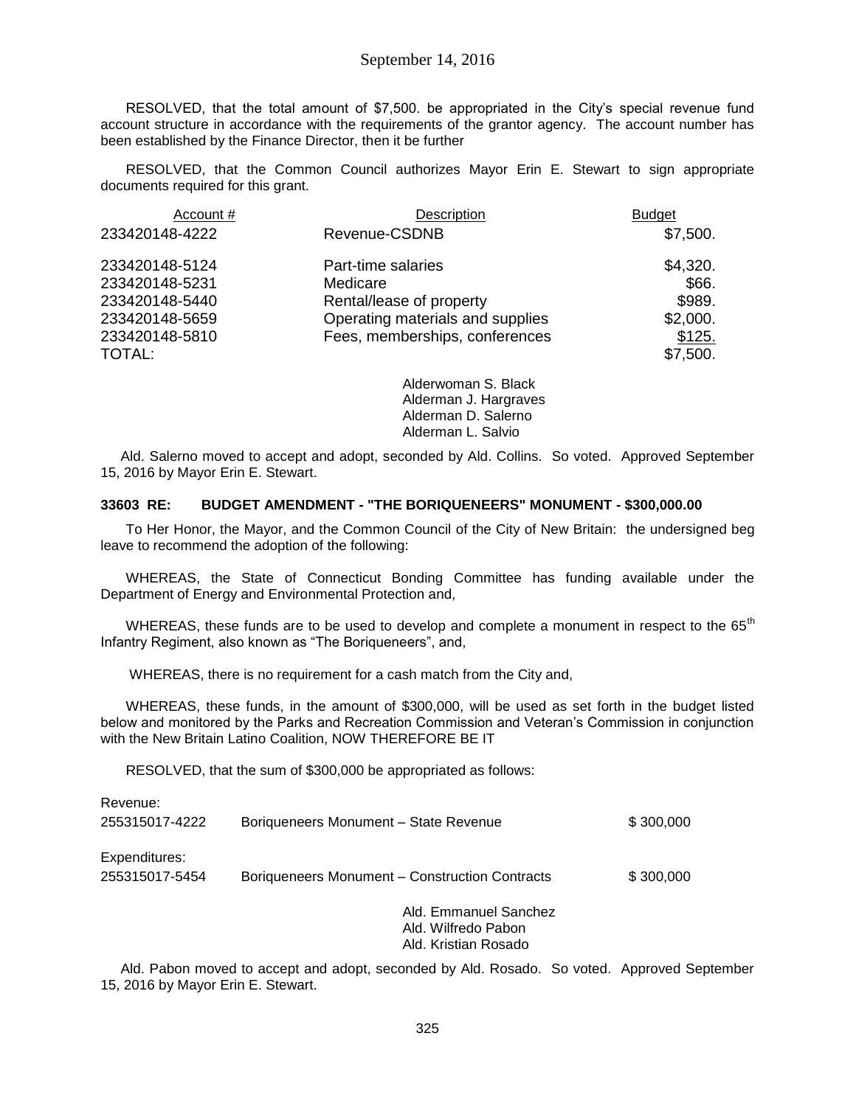RESOLVED, that the total amount of \$7,500. be appropriated in the City's special revenue fund account structure in accordance with the requirements of the grantor agency. The account number has been established by the Finance Director, then it be further

RESOLVED, that the Common Council authorizes Mayor Erin E. Stewart to sign appropriate documents required for this grant.

| Account #      | Description                      | <b>Budget</b> |
|----------------|----------------------------------|---------------|
| 233420148-4222 | Revenue-CSDNB                    | \$7,500.      |
| 233420148-5124 | Part-time salaries               | \$4,320.      |
| 233420148-5231 | Medicare                         | \$66.         |
| 233420148-5440 | Rental/lease of property         | \$989.        |
| 233420148-5659 | Operating materials and supplies | \$2,000.      |
| 233420148-5810 | Fees, memberships, conferences   | \$125.        |
| TOTAL:         |                                  | \$7,500.      |
|                | Alderwoman S. Rlack              |               |

Alderwoman S. Black Alderman J. Hargraves Alderman D. Salerno Alderman L. Salvio

Ald. Salerno moved to accept and adopt, seconded by Ald. Collins. So voted. Approved September 15, 2016 by Mayor Erin E. Stewart.

# **33603 RE: BUDGET AMENDMENT - "THE BORIQUENEERS" MONUMENT - \$300,000.00**

To Her Honor, the Mayor, and the Common Council of the City of New Britain: the undersigned beg leave to recommend the adoption of the following:

WHEREAS, the State of Connecticut Bonding Committee has funding available under the Department of Energy and Environmental Protection and,

WHEREAS, these funds are to be used to develop and complete a monument in respect to the 65<sup>th</sup> Infantry Regiment, also known as "The Boriqueneers", and,

WHEREAS, there is no requirement for a cash match from the City and,

WHEREAS, these funds, in the amount of \$300,000, will be used as set forth in the budget listed below and monitored by the Parks and Recreation Commission and Veteran's Commission in conjunction with the New Britain Latino Coalition, NOW THEREFORE BE IT

RESOLVED, that the sum of \$300,000 be appropriated as follows:

| Revenue:                        |                                                |                       |           |
|---------------------------------|------------------------------------------------|-----------------------|-----------|
| 255315017-4222                  | Boriqueneers Monument - State Revenue          |                       | \$300,000 |
| Expenditures:<br>255315017-5454 | Boriqueneers Monument - Construction Contracts |                       | \$300,000 |
|                                 |                                                | Ald. Emmanuel Sanchez |           |

Ald. Wilfredo Pabon Ald. Kristian Rosado

Ald. Pabon moved to accept and adopt, seconded by Ald. Rosado. So voted. Approved September 15, 2016 by Mayor Erin E. Stewart.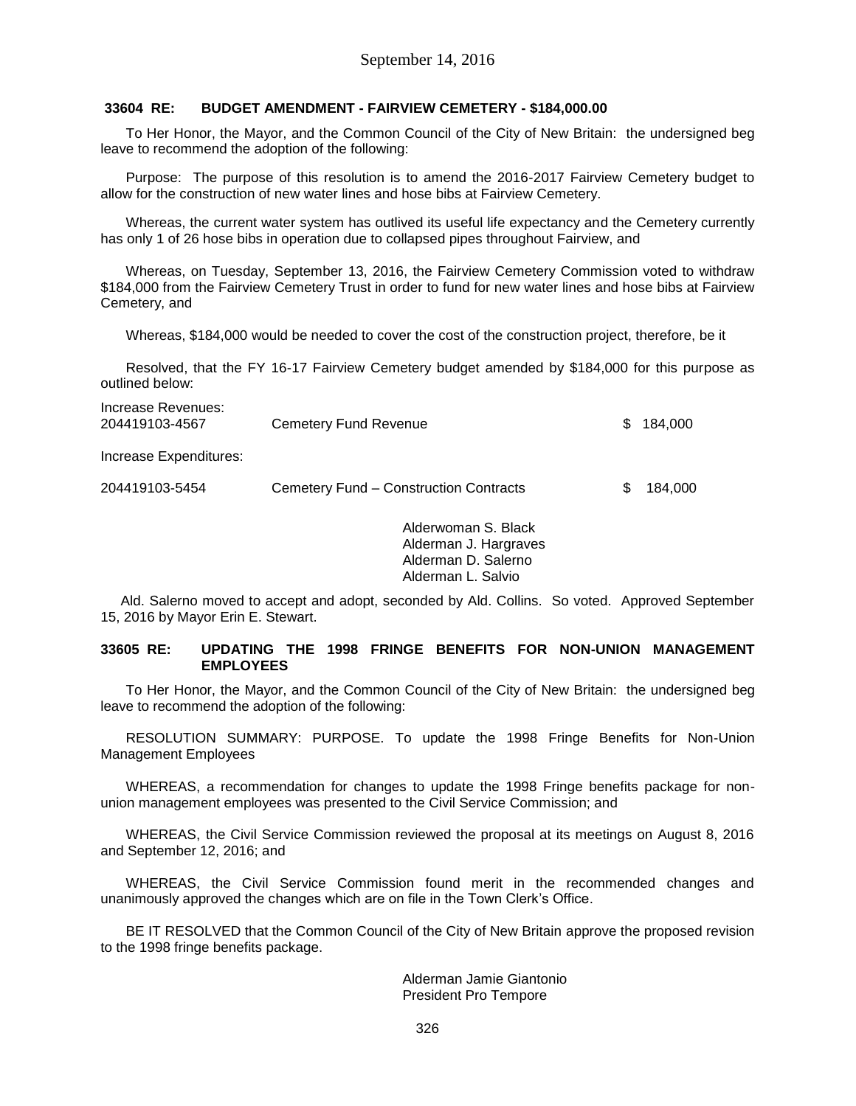# **33604 RE: BUDGET AMENDMENT - FAIRVIEW CEMETERY - \$184,000.00**

To Her Honor, the Mayor, and the Common Council of the City of New Britain: the undersigned beg leave to recommend the adoption of the following:

Purpose: The purpose of this resolution is to amend the 2016-2017 Fairview Cemetery budget to allow for the construction of new water lines and hose bibs at Fairview Cemetery.

Whereas, the current water system has outlived its useful life expectancy and the Cemetery currently has only 1 of 26 hose bibs in operation due to collapsed pipes throughout Fairview, and

Whereas, on Tuesday, September 13, 2016, the Fairview Cemetery Commission voted to withdraw \$184,000 from the Fairview Cemetery Trust in order to fund for new water lines and hose bibs at Fairview Cemetery, and

Whereas, \$184,000 would be needed to cover the cost of the construction project, therefore, be it

Resolved, that the FY 16-17 Fairview Cemetery budget amended by \$184,000 for this purpose as outlined below:

| Increase Revenues:<br>204419103-4567 | Cemetery Fund Revenue                  | \$. | 184.000 |
|--------------------------------------|----------------------------------------|-----|---------|
| Increase Expenditures:               |                                        |     |         |
| 204419103-5454                       | Cemetery Fund – Construction Contracts |     | 184.000 |

Alderwoman S. Black Alderman J. Hargraves Alderman D. Salerno Alderman L. Salvio

Ald. Salerno moved to accept and adopt, seconded by Ald. Collins. So voted. Approved September 15, 2016 by Mayor Erin E. Stewart.

#### **33605 RE: UPDATING THE 1998 FRINGE BENEFITS FOR NON-UNION MANAGEMENT EMPLOYEES**

To Her Honor, the Mayor, and the Common Council of the City of New Britain: the undersigned beg leave to recommend the adoption of the following:

RESOLUTION SUMMARY: PURPOSE. To update the 1998 Fringe Benefits for Non-Union Management Employees

WHEREAS, a recommendation for changes to update the 1998 Fringe benefits package for nonunion management employees was presented to the Civil Service Commission; and

WHEREAS, the Civil Service Commission reviewed the proposal at its meetings on August 8, 2016 and September 12, 2016; and

WHEREAS, the Civil Service Commission found merit in the recommended changes and unanimously approved the changes which are on file in the Town Clerk's Office.

BE IT RESOLVED that the Common Council of the City of New Britain approve the proposed revision to the 1998 fringe benefits package.

> Alderman Jamie Giantonio President Pro Tempore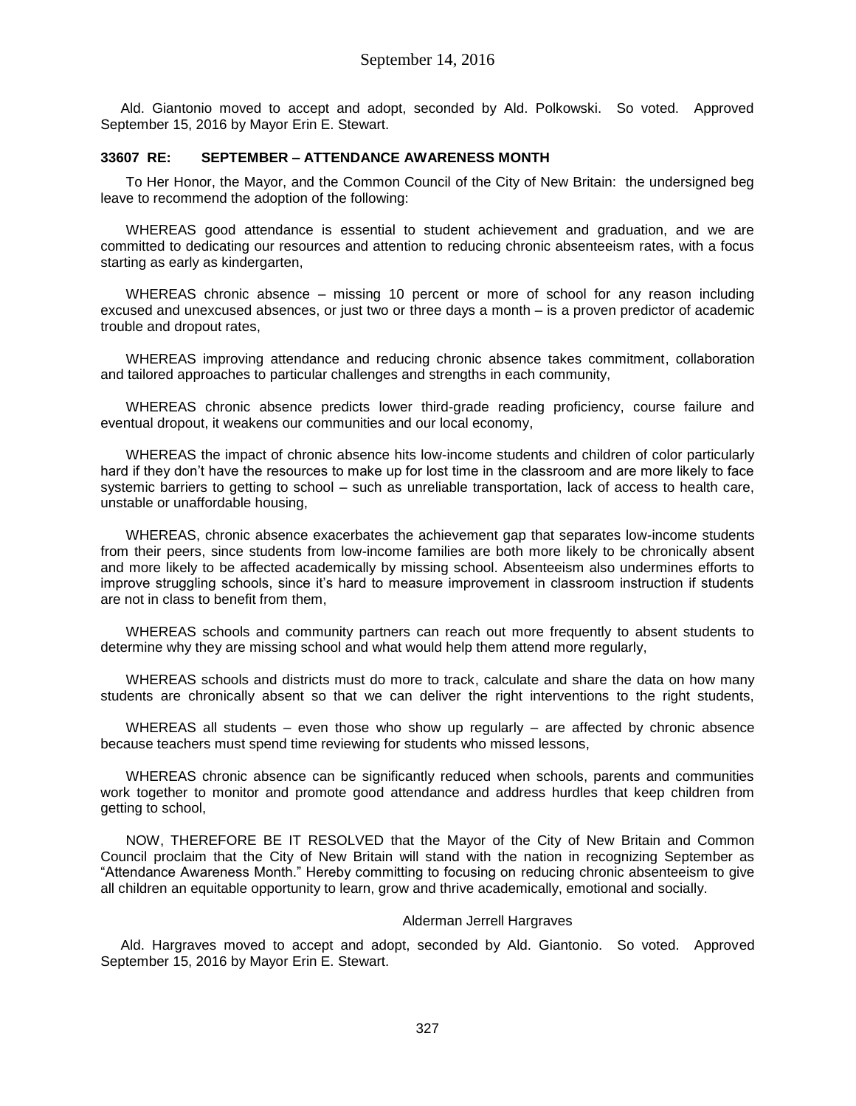Ald. Giantonio moved to accept and adopt, seconded by Ald. Polkowski. So voted. Approved September 15, 2016 by Mayor Erin E. Stewart.

# **33607 RE: SEPTEMBER – ATTENDANCE AWARENESS MONTH**

To Her Honor, the Mayor, and the Common Council of the City of New Britain: the undersigned beg leave to recommend the adoption of the following:

WHEREAS good attendance is essential to student achievement and graduation, and we are committed to dedicating our resources and attention to reducing chronic absenteeism rates, with a focus starting as early as kindergarten,

WHEREAS chronic absence – missing 10 percent or more of school for any reason including excused and unexcused absences, or just two or three days a month – is a proven predictor of academic trouble and dropout rates,

WHEREAS improving attendance and reducing chronic absence takes commitment, collaboration and tailored approaches to particular challenges and strengths in each community,

WHEREAS chronic absence predicts lower third-grade reading proficiency, course failure and eventual dropout, it weakens our communities and our local economy,

WHEREAS the impact of chronic absence hits low-income students and children of color particularly hard if they don't have the resources to make up for lost time in the classroom and are more likely to face systemic barriers to getting to school – such as unreliable transportation, lack of access to health care, unstable or unaffordable housing,

WHEREAS, chronic absence exacerbates the achievement gap that separates low-income students from their peers, since students from low-income families are both more likely to be chronically absent and more likely to be affected academically by missing school. Absenteeism also undermines efforts to improve struggling schools, since it's hard to measure improvement in classroom instruction if students are not in class to benefit from them,

WHEREAS schools and community partners can reach out more frequently to absent students to determine why they are missing school and what would help them attend more regularly,

WHEREAS schools and districts must do more to track, calculate and share the data on how many students are chronically absent so that we can deliver the right interventions to the right students,

WHEREAS all students – even those who show up regularly – are affected by chronic absence because teachers must spend time reviewing for students who missed lessons,

WHEREAS chronic absence can be significantly reduced when schools, parents and communities work together to monitor and promote good attendance and address hurdles that keep children from getting to school,

NOW, THEREFORE BE IT RESOLVED that the Mayor of the City of New Britain and Common Council proclaim that the City of New Britain will stand with the nation in recognizing September as "Attendance Awareness Month." Hereby committing to focusing on reducing chronic absenteeism to give all children an equitable opportunity to learn, grow and thrive academically, emotional and socially.

## Alderman Jerrell Hargraves

Ald. Hargraves moved to accept and adopt, seconded by Ald. Giantonio. So voted. Approved September 15, 2016 by Mayor Erin E. Stewart.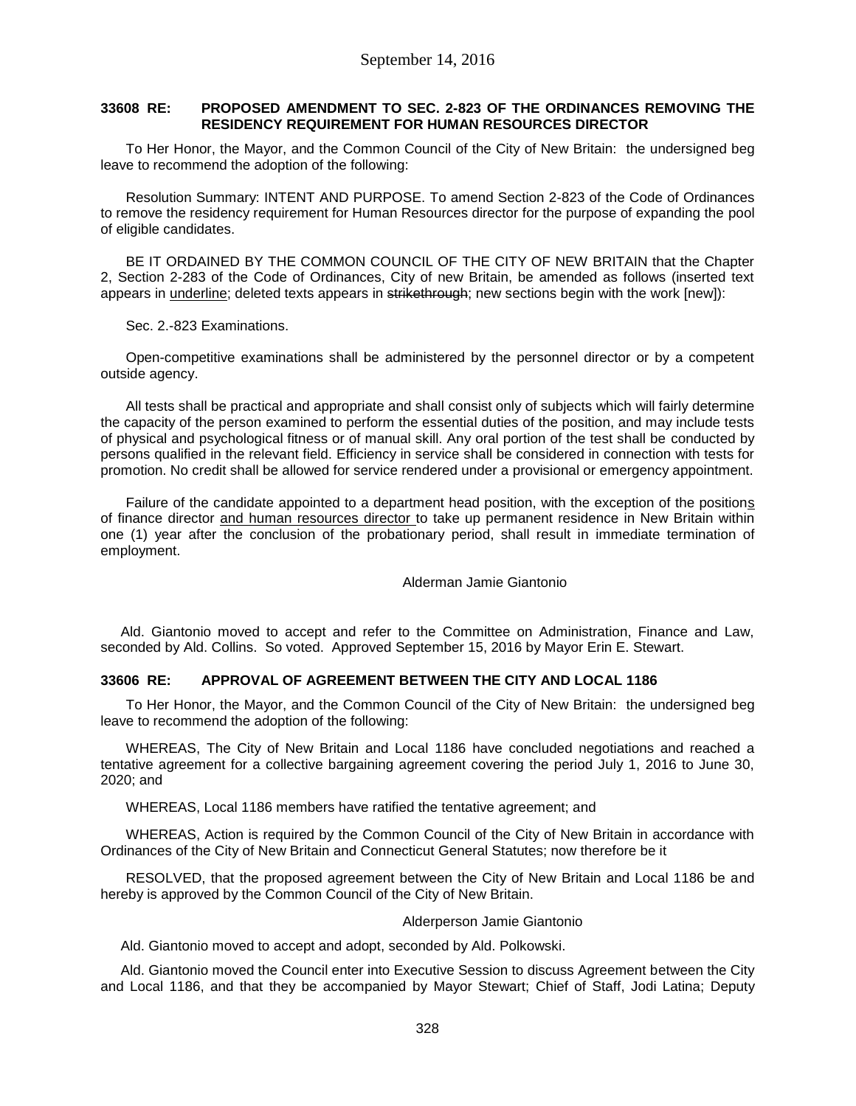# **33608 RE: PROPOSED AMENDMENT TO SEC. 2-823 OF THE ORDINANCES REMOVING THE RESIDENCY REQUIREMENT FOR HUMAN RESOURCES DIRECTOR**

To Her Honor, the Mayor, and the Common Council of the City of New Britain: the undersigned beg leave to recommend the adoption of the following:

Resolution Summary: INTENT AND PURPOSE. To amend Section 2-823 of the Code of Ordinances to remove the residency requirement for Human Resources director for the purpose of expanding the pool of eligible candidates.

BE IT ORDAINED BY THE COMMON COUNCIL OF THE CITY OF NEW BRITAIN that the Chapter 2, Section 2-283 of the Code of Ordinances, City of new Britain, be amended as follows (inserted text appears in underline; deleted texts appears in strikethrough; new sections begin with the work [new]):

Sec. 2.-823 Examinations.

Open-competitive examinations shall be administered by the personnel director or by a competent outside agency.

All tests shall be practical and appropriate and shall consist only of subjects which will fairly determine the capacity of the person examined to perform the essential duties of the position, and may include tests of physical and psychological fitness or of manual skill. Any oral portion of the test shall be conducted by persons qualified in the relevant field. Efficiency in service shall be considered in connection with tests for promotion. No credit shall be allowed for service rendered under a provisional or emergency appointment.

Failure of the candidate appointed to a department head position, with the exception of the positions of finance director and human resources director to take up permanent residence in New Britain within one (1) year after the conclusion of the probationary period, shall result in immediate termination of employment.

Alderman Jamie Giantonio

Ald. Giantonio moved to accept and refer to the Committee on Administration, Finance and Law, seconded by Ald. Collins. So voted. Approved September 15, 2016 by Mayor Erin E. Stewart.

# **33606 RE: APPROVAL OF AGREEMENT BETWEEN THE CITY AND LOCAL 1186**

To Her Honor, the Mayor, and the Common Council of the City of New Britain: the undersigned beg leave to recommend the adoption of the following:

WHEREAS, The City of New Britain and Local 1186 have concluded negotiations and reached a tentative agreement for a collective bargaining agreement covering the period July 1, 2016 to June 30, 2020; and

WHEREAS, Local 1186 members have ratified the tentative agreement; and

WHEREAS, Action is required by the Common Council of the City of New Britain in accordance with Ordinances of the City of New Britain and Connecticut General Statutes; now therefore be it

RESOLVED, that the proposed agreement between the City of New Britain and Local 1186 be and hereby is approved by the Common Council of the City of New Britain.

# Alderperson Jamie Giantonio

Ald. Giantonio moved to accept and adopt, seconded by Ald. Polkowski.

Ald. Giantonio moved the Council enter into Executive Session to discuss Agreement between the City and Local 1186, and that they be accompanied by Mayor Stewart; Chief of Staff, Jodi Latina; Deputy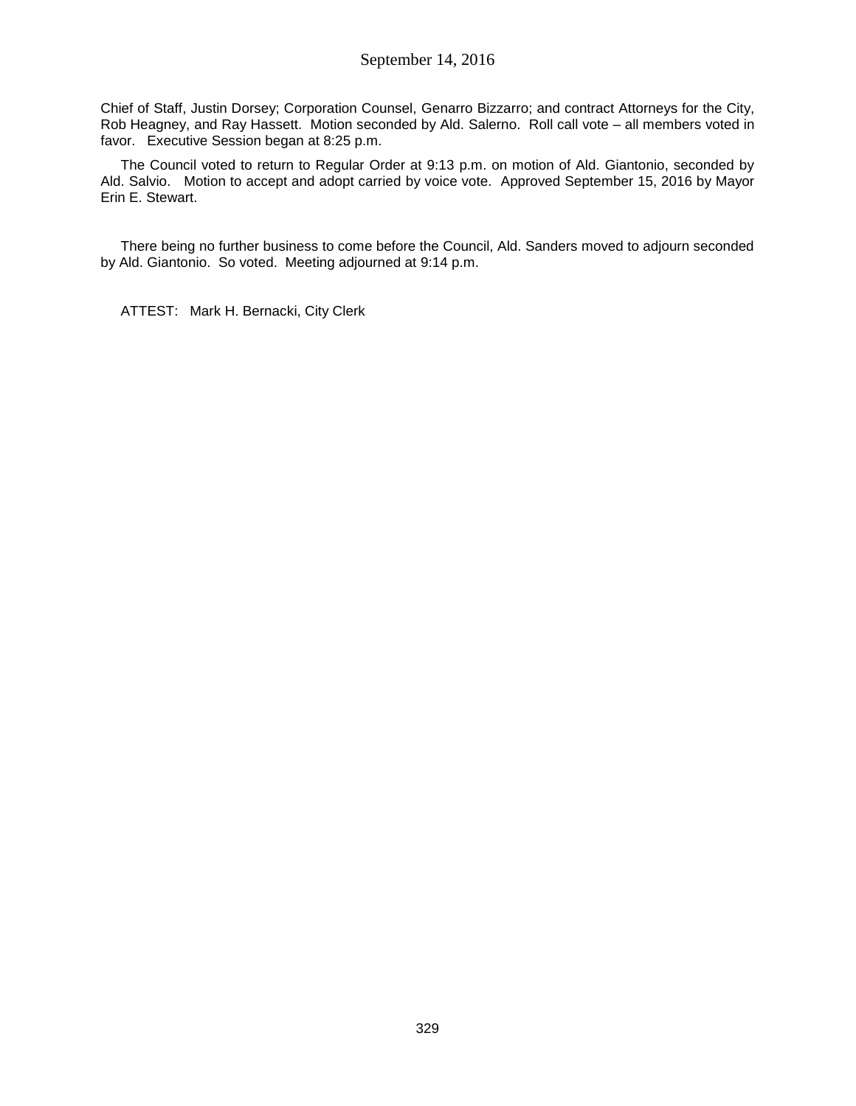Chief of Staff, Justin Dorsey; Corporation Counsel, Genarro Bizzarro; and contract Attorneys for the City, Rob Heagney, and Ray Hassett. Motion seconded by Ald. Salerno. Roll call vote – all members voted in favor. Executive Session began at 8:25 p.m.

The Council voted to return to Regular Order at 9:13 p.m. on motion of Ald. Giantonio, seconded by Ald. Salvio. Motion to accept and adopt carried by voice vote. Approved September 15, 2016 by Mayor Erin E. Stewart.

There being no further business to come before the Council, Ald. Sanders moved to adjourn seconded by Ald. Giantonio. So voted. Meeting adjourned at 9:14 p.m.

ATTEST: Mark H. Bernacki, City Clerk